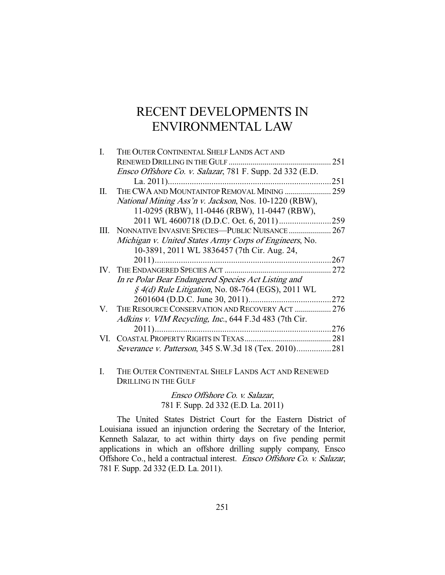# RECENT DEVELOPMENTS IN ENVIRONMENTAL LAW

| L  | THE OUTER CONTINENTAL SHELF LANDS ACT AND                     |      |
|----|---------------------------------------------------------------|------|
|    |                                                               | 251  |
|    | Ensco Offshore Co. v. Salazar, 781 F. Supp. 2d 332 (E.D.      |      |
|    |                                                               | 251  |
| П. | THE CWA AND MOUNTAINTOP REMOVAL MINING  259                   |      |
|    | National Mining Ass'n v. Jackson, Nos. 10-1220 (RBW),         |      |
|    | 11-0295 (RBW), 11-0446 (RBW), 11-0447 (RBW),                  |      |
|    |                                                               | 259  |
| Ш. | NONNATIVE INVASIVE SPECIES-PUBLIC NUISANCE  267               |      |
|    | Michigan v. United States Army Corps of Engineers, No.        |      |
|    | 10-3891, 2011 WL 3836457 (7th Cir. Aug. 24,                   |      |
|    | $2011)$                                                       | 267  |
|    |                                                               | 272  |
|    | In re Polar Bear Endangered Species Act Listing and           |      |
|    | $\frac{1}{2}$ 4(d) Rule Litigation, No. 08-764 (EGS), 2011 WL |      |
|    |                                                               | .272 |
| V. | THE RESOURCE CONSERVATION AND RECOVERY ACT                    | 276  |
|    | Adkins v. VIM Recycling, Inc., 644 F.3d 483 (7th Cir.         |      |
|    | $2011)$                                                       | 276  |
|    | VI. COASTAL PROPERTY RIGHTS IN TEXAS                          | 281  |
|    | <i>Severance v. Patterson</i> , 345 S.W.3d 18 (Tex. 2010)     | 281  |
|    |                                                               |      |

I. THE OUTER CONTINENTAL SHELF LANDS ACT AND RENEWED DRILLING IN THE GULF

> Ensco Offshore Co. v. Salazar, 781 F. Supp. 2d 332 (E.D. La. 2011)

 The United States District Court for the Eastern District of Louisiana issued an injunction ordering the Secretary of the Interior, Kenneth Salazar, to act within thirty days on five pending permit applications in which an offshore drilling supply company, Ensco Offshore Co., held a contractual interest. Ensco Offshore Co. v. Salazar, 781 F. Supp. 2d 332 (E.D. La. 2011).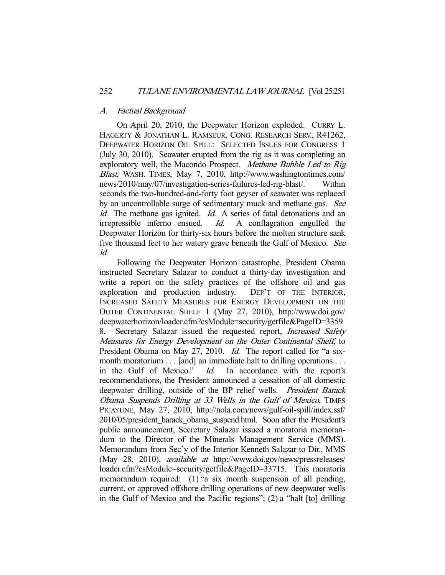## A. Factual Background

 On April 20, 2010, the Deepwater Horizon exploded. CURRY L. HAGERTY & JONATHAN L. RAMSEUR, CONG. RESEARCH SERV., R41262, DEEPWATER HORIZON OIL SPILL: SELECTED ISSUES FOR CONGRESS 1 (July 30, 2010). Seawater erupted from the rig as it was completing an exploratory well, the Macondo Prospect. Methane Bubble Led to Rig Blast, WASH. TIMES, May 7, 2010, http://www.washingtontimes.com/ news/2010/may/07/investigation-series-failures-led-rig-blast/. Within seconds the two-hundred-and-forty foot geyser of seawater was replaced by an uncontrollable surge of sedimentary muck and methane gas. See id. The methane gas ignited. Id. A series of fatal detonations and an irrepressible inferno ensued. Id. A conflagration engulfed the Deepwater Horizon for thirty-six hours before the molten structure sank five thousand feet to her watery grave beneath the Gulf of Mexico. See id.

 Following the Deepwater Horizon catastrophe, President Obama instructed Secretary Salazar to conduct a thirty-day investigation and write a report on the safety practices of the offshore oil and gas exploration and production industry. DEP'T OF THE INTERIOR, INCREASED SAFETY MEASURES FOR ENERGY DEVELOPMENT ON THE OUTER CONTINENTAL SHELF 1 (May 27, 2010), http://www.doi.gov/ deepwaterhorizon/loader.cfm?csModule=security/getfile&PageID=3359 8. Secretary Salazar issued the requested report, Increased Safety Measures for Energy Development on the Outer Continental Shelf, to President Obama on May 27, 2010. Id. The report called for "a sixmonth moratorium . . . [and] an immediate halt to drilling operations . . . in the Gulf of Mexico." Id. In accordance with the report's recommendations, the President announced a cessation of all domestic deepwater drilling, outside of the BP relief wells. President Barack Obama Suspends Drilling at 33 Wells in the Gulf of Mexico, TIMES PICAYUNE, May 27, 2010, http://nola.com/news/gulf-oil-spill/index.ssf/ 2010/05/president barack obama suspend.html. Soon after the President's public announcement, Secretary Salazar issued a moratoria memorandum to the Director of the Minerals Management Service (MMS). Memorandum from Sec'y of the Interior Kenneth Salazar to Dir., MMS (May 28, 2010), available at http://www.doi.gov/news/pressreleases/ loader.cfm?csModule=security/getfile&PageID=33715. This moratoria memorandum required: (1) "a six month suspension of all pending, current, or approved offshore drilling operations of new deepwater wells in the Gulf of Mexico and the Pacific regions"; (2) a "halt [to] drilling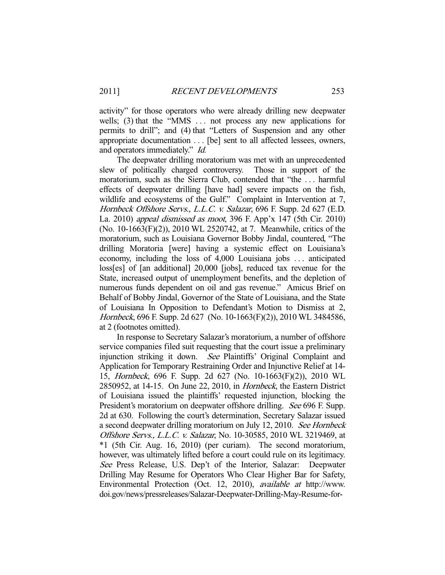activity" for those operators who were already drilling new deepwater wells; (3) that the "MMS ... not process any new applications for permits to drill"; and (4) that "Letters of Suspension and any other appropriate documentation . . . [be] sent to all affected lessees, owners, and operators immediately." Id.

 The deepwater drilling moratorium was met with an unprecedented slew of politically charged controversy. Those in support of the moratorium, such as the Sierra Club, contended that "the . . . harmful effects of deepwater drilling [have had] severe impacts on the fish, wildlife and ecosystems of the Gulf." Complaint in Intervention at 7, Hornbeck Offshore Servs., L.L.C. v. Salazar, 696 F. Supp. 2d 627 (E.D. La. 2010) appeal dismissed as moot, 396 F. App'x 147 (5th Cir. 2010) (No. 10-1663(F)(2)), 2010 WL 2520742, at 7. Meanwhile, critics of the moratorium, such as Louisiana Governor Bobby Jindal, countered, "The drilling Moratoria [were] having a systemic effect on Louisiana's economy, including the loss of 4,000 Louisiana jobs . . . anticipated loss[es] of [an additional] 20,000 [jobs], reduced tax revenue for the State, increased output of unemployment benefits, and the depletion of numerous funds dependent on oil and gas revenue." Amicus Brief on Behalf of Bobby Jindal, Governor of the State of Louisiana, and the State of Louisiana In Opposition to Defendant's Motion to Dismiss at 2, Hornbeck, 696 F. Supp. 2d 627 (No. 10-1663(F)(2)), 2010 WL 3484586, at 2 (footnotes omitted).

 In response to Secretary Salazar's moratorium, a number of offshore service companies filed suit requesting that the court issue a preliminary injunction striking it down. See Plaintiffs' Original Complaint and Application for Temporary Restraining Order and Injunctive Relief at 14- 15, Hornbeck, 696 F. Supp. 2d 627 (No. 10-1663(F)(2)), 2010 WL 2850952, at 14-15. On June 22, 2010, in Hornbeck, the Eastern District of Louisiana issued the plaintiffs' requested injunction, blocking the President's moratorium on deepwater offshore drilling. See 696 F. Supp. 2d at 630. Following the court's determination, Secretary Salazar issued a second deepwater drilling moratorium on July 12, 2010. See Hornbeck Offshore Servs., L.L.C. v. Salazar, No. 10-30585, 2010 WL 3219469, at \*1 (5th Cir. Aug. 16, 2010) (per curiam). The second moratorium, however, was ultimately lifted before a court could rule on its legitimacy. See Press Release, U.S. Dep't of the Interior, Salazar: Deepwater Drilling May Resume for Operators Who Clear Higher Bar for Safety, Environmental Protection (Oct. 12, 2010), available at http://www. doi.gov/news/pressreleases/Salazar-Deepwater-Drilling-May-Resume-for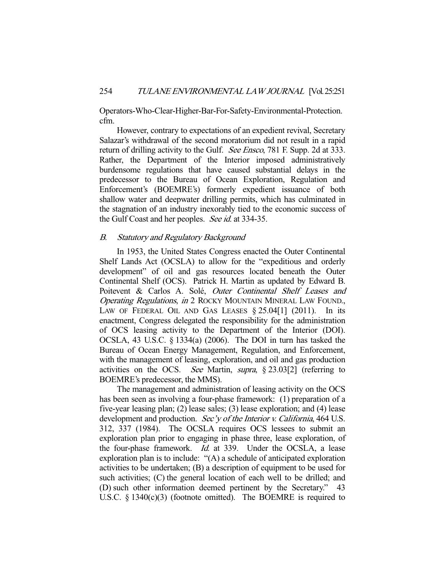Operators-Who-Clear-Higher-Bar-For-Safety-Environmental-Protection. cfm.

 However, contrary to expectations of an expedient revival, Secretary Salazar's withdrawal of the second moratorium did not result in a rapid return of drilling activity to the Gulf. See Ensco, 781 F. Supp. 2d at 333. Rather, the Department of the Interior imposed administratively burdensome regulations that have caused substantial delays in the predecessor to the Bureau of Ocean Exploration, Regulation and Enforcement's (BOEMRE's) formerly expedient issuance of both shallow water and deepwater drilling permits, which has culminated in the stagnation of an industry inexorably tied to the economic success of the Gulf Coast and her peoples. See id. at 334-35.

# B. Statutory and Regulatory Background

 In 1953, the United States Congress enacted the Outer Continental Shelf Lands Act (OCSLA) to allow for the "expeditious and orderly development" of oil and gas resources located beneath the Outer Continental Shelf (OCS). Patrick H. Martin as updated by Edward B. Poitevent & Carlos A. Solé, Outer Continental Shelf Leases and Operating Regulations, in 2 ROCKY MOUNTAIN MINERAL LAW FOUND., LAW OF FEDERAL OIL AND GAS LEASES  $\S 25.04[1]$  (2011). In its enactment, Congress delegated the responsibility for the administration of OCS leasing activity to the Department of the Interior (DOI). OCSLA, 43 U.S.C. § 1334(a) (2006). The DOI in turn has tasked the Bureau of Ocean Energy Management, Regulation, and Enforcement, with the management of leasing, exploration, and oil and gas production activities on the OCS. See Martin, supra, § 23.03[2] (referring to BOEMRE's predecessor, the MMS).

 The management and administration of leasing activity on the OCS has been seen as involving a four-phase framework: (1) preparation of a five-year leasing plan; (2) lease sales; (3) lease exploration; and (4) lease development and production. Sec'y of the Interior v. California, 464 U.S. 312, 337 (1984). The OCSLA requires OCS lessees to submit an exploration plan prior to engaging in phase three, lease exploration, of the four-phase framework. Id. at 339. Under the OCSLA, a lease exploration plan is to include: "(A) a schedule of anticipated exploration activities to be undertaken; (B) a description of equipment to be used for such activities; (C) the general location of each well to be drilled; and (D) such other information deemed pertinent by the Secretary." 43 U.S.C. § 1340(c)(3) (footnote omitted). The BOEMRE is required to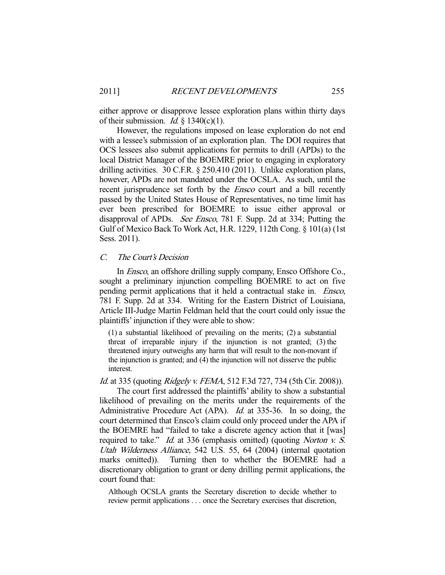either approve or disapprove lessee exploration plans within thirty days of their submission. *Id.*  $\S$  1340(c)(1).

 However, the regulations imposed on lease exploration do not end with a lessee's submission of an exploration plan. The DOI requires that OCS lessees also submit applications for permits to drill (APDs) to the local District Manager of the BOEMRE prior to engaging in exploratory drilling activities. 30 C.F.R. § 250.410 (2011). Unlike exploration plans, however, APDs are not mandated under the OCSLA. As such, until the recent jurisprudence set forth by the *Ensco* court and a bill recently passed by the United States House of Representatives, no time limit has ever been prescribed for BOEMRE to issue either approval or disapproval of APDs. See Ensco, 781 F. Supp. 2d at 334; Putting the Gulf of Mexico Back To Work Act, H.R. 1229, 112th Cong. § 101(a) (1st Sess. 2011).

## C. The Court's Decision

 In Ensco, an offshore drilling supply company, Ensco Offshore Co., sought a preliminary injunction compelling BOEMRE to act on five pending permit applications that it held a contractual stake in. Ensco, 781 F. Supp. 2d at 334. Writing for the Eastern District of Louisiana, Article III-Judge Martin Feldman held that the court could only issue the plaintiffs' injunction if they were able to show:

(1) a substantial likelihood of prevailing on the merits; (2) a substantial threat of irreparable injury if the injunction is not granted; (3) the threatened injury outweighs any harm that will result to the non-movant if the injunction is granted; and (4) the injunction will not disserve the public interest.

#### Id. at 335 (quoting *Ridgely v. FEMA*, 512 F.3d 727, 734 (5th Cir. 2008)).

 The court first addressed the plaintiffs' ability to show a substantial likelihood of prevailing on the merits under the requirements of the Administrative Procedure Act (APA). *Id.* at 335-36. In so doing, the court determined that Ensco's claim could only proceed under the APA if the BOEMRE had "failed to take a discrete agency action that it [was] required to take." *Id.* at 336 (emphasis omitted) (quoting *Norton v. S.* Utah Wilderness Alliance, 542 U.S. 55, 64 (2004) (internal quotation marks omitted)). Turning then to whether the BOEMRE had a discretionary obligation to grant or deny drilling permit applications, the court found that:

Although OCSLA grants the Secretary discretion to decide whether to review permit applications . . . once the Secretary exercises that discretion,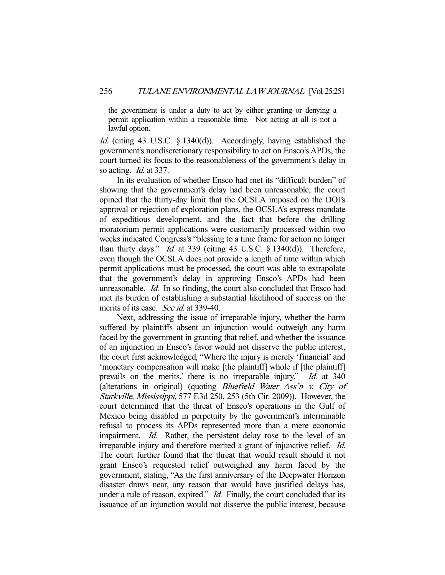the government is under a duty to act by either granting or denying a permit application within a reasonable time. Not acting at all is not a lawful option.

Id. (citing 43 U.S.C. § 1340(d)). Accordingly, having established the government's nondiscretionary responsibility to act on Ensco's APDs, the court turned its focus to the reasonableness of the government's delay in so acting. *Id.* at 337.

 In its evaluation of whether Ensco had met its "difficult burden" of showing that the government's delay had been unreasonable, the court opined that the thirty-day limit that the OCSLA imposed on the DOI's approval or rejection of exploration plans, the OCSLA's express mandate of expeditious development, and the fact that before the drilling moratorium permit applications were customarily processed within two weeks indicated Congress's "blessing to a time frame for action no longer than thirty days." *Id.* at 339 (citing 43 U.S.C.  $\S$  1340(d)). Therefore, even though the OCSLA does not provide a length of time within which permit applications must be processed, the court was able to extrapolate that the government's delay in approving Ensco's APDs had been unreasonable. *Id.* In so finding, the court also concluded that Ensco had met its burden of establishing a substantial likelihood of success on the merits of its case. See id. at 339-40.

 Next, addressing the issue of irreparable injury, whether the harm suffered by plaintiffs absent an injunction would outweigh any harm faced by the government in granting that relief, and whether the issuance of an injunction in Ensco's favor would not disserve the public interest, the court first acknowledged, "Where the injury is merely 'financial' and 'monetary compensation will make [the plaintiff] whole if [the plaintiff] prevails on the merits,' there is no irreparable injury." *Id.* at 340 (alterations in original) (quoting Bluefield Water Ass'n v. City of Starkville, Mississippi, 577 F.3d 250, 253 (5th Cir. 2009)). However, the court determined that the threat of Ensco's operations in the Gulf of Mexico being disabled in perpetuity by the government's interminable refusal to process its APDs represented more than a mere economic impairment. *Id.* Rather, the persistent delay rose to the level of an irreparable injury and therefore merited a grant of injunctive relief. Id. The court further found that the threat that would result should it not grant Ensco's requested relief outweighed any harm faced by the government, stating, "As the first anniversary of the Deepwater Horizon disaster draws near, any reason that would have justified delays has, under a rule of reason, expired." *Id.* Finally, the court concluded that its issuance of an injunction would not disserve the public interest, because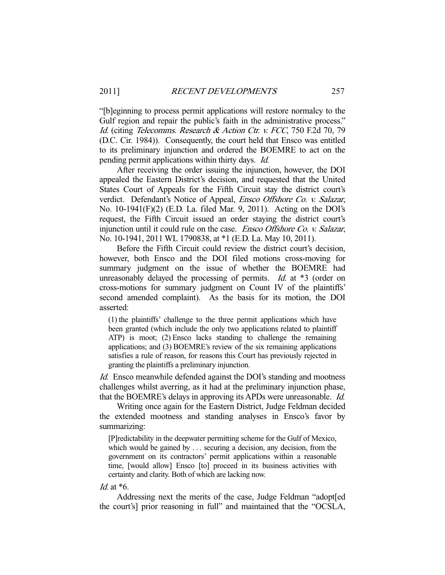"[b]eginning to process permit applications will restore normalcy to the Gulf region and repair the public's faith in the administrative process." Id. (citing Telecomms. Research & Action Ctr. v. FCC, 750 F.2d 70, 79 (D.C. Cir. 1984)). Consequently, the court held that Ensco was entitled to its preliminary injunction and ordered the BOEMRE to act on the pending permit applications within thirty days. Id.

 After receiving the order issuing the injunction, however, the DOI appealed the Eastern District's decision, and requested that the United States Court of Appeals for the Fifth Circuit stay the district court's verdict. Defendant's Notice of Appeal, Ensco Offshore Co. v. Salazar, No. 10-1941(F)(2) (E.D. La. filed Mar. 9, 2011). Acting on the DOI's request, the Fifth Circuit issued an order staying the district court's injunction until it could rule on the case. *Ensco Offshore Co. v. Salazar*, No. 10-1941, 2011 WL 1790838, at \*1 (E.D. La. May 10, 2011).

 Before the Fifth Circuit could review the district court's decision, however, both Ensco and the DOI filed motions cross-moving for summary judgment on the issue of whether the BOEMRE had unreasonably delayed the processing of permits. *Id.* at \*3 (order on cross-motions for summary judgment on Count IV of the plaintiffs' second amended complaint). As the basis for its motion, the DOI asserted:

(1) the plaintiffs' challenge to the three permit applications which have been granted (which include the only two applications related to plaintiff ATP) is moot; (2) Ensco lacks standing to challenge the remaining applications; and (3) BOEMRE's review of the six remaining applications satisfies a rule of reason, for reasons this Court has previously rejected in granting the plaintiffs a preliminary injunction.

Id. Ensco meanwhile defended against the DOI's standing and mootness challenges whilst averring, as it had at the preliminary injunction phase, that the BOEMRE's delays in approving its APDs were unreasonable. Id.

 Writing once again for the Eastern District, Judge Feldman decided the extended mootness and standing analyses in Ensco's favor by summarizing:

[P]redictability in the deepwater permitting scheme for the Gulf of Mexico, which would be gained by . . . securing a decision, any decision, from the government on its contractors' permit applications within a reasonable time, [would allow] Ensco [to] proceed in its business activities with certainty and clarity. Both of which are lacking now.

Id. at  $*6$ .

 Addressing next the merits of the case, Judge Feldman "adopt[ed the court's] prior reasoning in full" and maintained that the "OCSLA,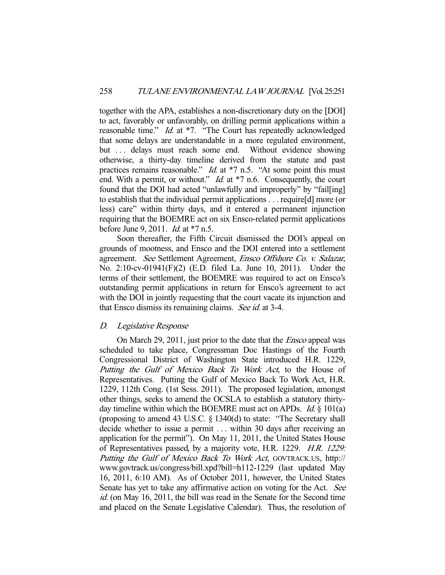together with the APA, establishes a non-discretionary duty on the [DOI] to act, favorably or unfavorably, on drilling permit applications within a reasonable time." *Id.* at \*7. "The Court has repeatedly acknowledged that some delays are understandable in a more regulated environment, but ... delays must reach some end. Without evidence showing otherwise, a thirty-day timeline derived from the statute and past practices remains reasonable."  $Id$  at  $*7$  n.5. "At some point this must end. With a permit, or without." *Id.* at \*7 n.6. Consequently, the court found that the DOI had acted "unlawfully and improperly" by "fail[ing] to establish that the individual permit applications . . . require[d] more (or less) care" within thirty days, and it entered a permanent injunction requiring that the BOEMRE act on six Ensco-related permit applications before June 9, 2011. Id. at \*7 n.5.

 Soon thereafter, the Fifth Circuit dismissed the DOI's appeal on grounds of mootness, and Ensco and the DOI entered into a settlement agreement. See Settlement Agreement, Ensco Offshore Co. v. Salazar, No. 2:10-cv-01941(F)(2) (E.D. filed La. June 10, 2011). Under the terms of their settlement, the BOEMRE was required to act on Ensco's outstanding permit applications in return for Ensco's agreement to act with the DOI in jointly requesting that the court vacate its injunction and that Ensco dismiss its remaining claims. See id. at 3-4.

## D. Legislative Response

 On March 29, 2011, just prior to the date that the Ensco appeal was scheduled to take place, Congressman Doc Hastings of the Fourth Congressional District of Washington State introduced H.R. 1229, Putting the Gulf of Mexico Back To Work Act, to the House of Representatives. Putting the Gulf of Mexico Back To Work Act, H.R. 1229, 112th Cong. (1st Sess. 2011). The proposed legislation, amongst other things, seeks to amend the OCSLA to establish a statutory thirtyday timeline within which the BOEMRE must act on APDs. *Id.*  $\S$  101(a) (proposing to amend 43 U.S.C. § 1340(d) to state: "The Secretary shall decide whether to issue a permit . . . within 30 days after receiving an application for the permit"). On May 11, 2011, the United States House of Representatives passed, by a majority vote, H.R. 1229. H.R. 1229: Putting the Gulf of Mexico Back To Work Act, GOVTRACK.US, http:// www.govtrack.us/congress/bill.xpd?bill=h112-1229 (last updated May 16, 2011, 6:10 AM). As of October 2011, however, the United States Senate has yet to take any affirmative action on voting for the Act. See id. (on May 16, 2011, the bill was read in the Senate for the Second time and placed on the Senate Legislative Calendar). Thus, the resolution of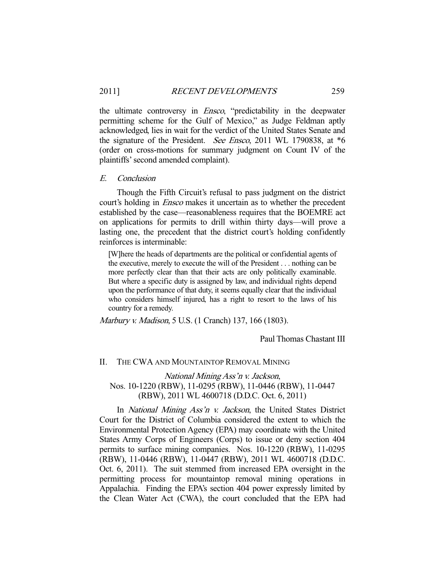the ultimate controversy in *Ensco*, "predictability in the deepwater permitting scheme for the Gulf of Mexico," as Judge Feldman aptly acknowledged, lies in wait for the verdict of the United States Senate and the signature of the President. *See Ensco*, 2011 WL 1790838, at  $*6$ (order on cross-motions for summary judgment on Count IV of the plaintiffs' second amended complaint).

#### E. Conclusion

 Though the Fifth Circuit's refusal to pass judgment on the district court's holding in Ensco makes it uncertain as to whether the precedent established by the case—reasonableness requires that the BOEMRE act on applications for permits to drill within thirty days—will prove a lasting one, the precedent that the district court's holding confidently reinforces is interminable:

[W]here the heads of departments are the political or confidential agents of the executive, merely to execute the will of the President . . . nothing can be more perfectly clear than that their acts are only politically examinable. But where a specific duty is assigned by law, and individual rights depend upon the performance of that duty, it seems equally clear that the individual who considers himself injured, has a right to resort to the laws of his country for a remedy.

Marbury v. Madison, 5 U.S. (1 Cranch) 137, 166 (1803).

Paul Thomas Chastant III

#### II. THE CWA AND MOUNTAINTOP REMOVAL MINING

# National Mining Ass'n v. Jackson, Nos. 10-1220 (RBW), 11-0295 (RBW), 11-0446 (RBW), 11-0447 (RBW), 2011 WL 4600718 (D.D.C. Oct. 6, 2011)

In *National Mining Ass'n v. Jackson*, the United States District Court for the District of Columbia considered the extent to which the Environmental Protection Agency (EPA) may coordinate with the United States Army Corps of Engineers (Corps) to issue or deny section 404 permits to surface mining companies. Nos. 10-1220 (RBW), 11-0295 (RBW), 11-0446 (RBW), 11-0447 (RBW), 2011 WL 4600718 (D.D.C. Oct. 6, 2011). The suit stemmed from increased EPA oversight in the permitting process for mountaintop removal mining operations in Appalachia. Finding the EPA's section 404 power expressly limited by the Clean Water Act (CWA), the court concluded that the EPA had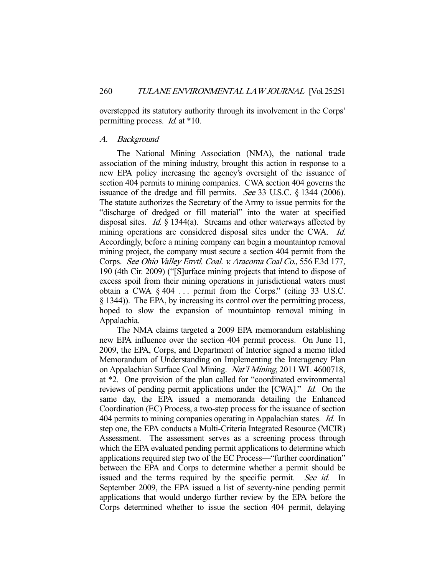overstepped its statutory authority through its involvement in the Corps' permitting process. Id. at \*10.

#### A. Background

 The National Mining Association (NMA), the national trade association of the mining industry, brought this action in response to a new EPA policy increasing the agency's oversight of the issuance of section 404 permits to mining companies. CWA section 404 governs the issuance of the dredge and fill permits. See 33 U.S.C. § 1344 (2006). The statute authorizes the Secretary of the Army to issue permits for the "discharge of dredged or fill material" into the water at specified disposal sites. Id. § 1344(a). Streams and other waterways affected by mining operations are considered disposal sites under the CWA. Id. Accordingly, before a mining company can begin a mountaintop removal mining project, the company must secure a section 404 permit from the Corps. See Ohio Valley Envtl. Coal. v. Aracoma Coal Co., 556 F.3d 177, 190 (4th Cir. 2009) ("[S]urface mining projects that intend to dispose of excess spoil from their mining operations in jurisdictional waters must obtain a CWA § 404 . . . permit from the Corps." (citing 33 U.S.C. § 1344)). The EPA, by increasing its control over the permitting process, hoped to slow the expansion of mountaintop removal mining in Appalachia.

 The NMA claims targeted a 2009 EPA memorandum establishing new EPA influence over the section 404 permit process. On June 11, 2009, the EPA, Corps, and Department of Interior signed a memo titled Memorandum of Understanding on Implementing the Interagency Plan on Appalachian Surface Coal Mining. Nat'l Mining, 2011 WL 4600718, at \*2. One provision of the plan called for "coordinated environmental reviews of pending permit applications under the [CWA]." Id. On the same day, the EPA issued a memoranda detailing the Enhanced Coordination (EC) Process, a two-step process for the issuance of section 404 permits to mining companies operating in Appalachian states. Id. In step one, the EPA conducts a Multi-Criteria Integrated Resource (MCIR) Assessment. The assessment serves as a screening process through which the EPA evaluated pending permit applications to determine which applications required step two of the EC Process—"further coordination" between the EPA and Corps to determine whether a permit should be issued and the terms required by the specific permit. See id. In September 2009, the EPA issued a list of seventy-nine pending permit applications that would undergo further review by the EPA before the Corps determined whether to issue the section 404 permit, delaying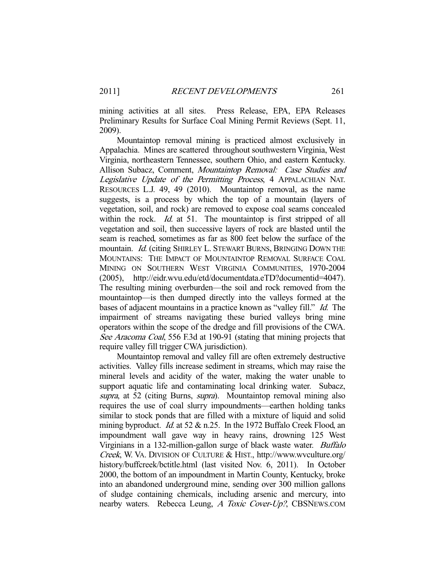mining activities at all sites. Press Release, EPA, EPA Releases Preliminary Results for Surface Coal Mining Permit Reviews (Sept. 11, 2009).

 Mountaintop removal mining is practiced almost exclusively in Appalachia. Mines are scattered throughout southwestern Virginia, West Virginia, northeastern Tennessee, southern Ohio, and eastern Kentucky. Allison Subacz, Comment, Mountaintop Removal: Case Studies and Legislative Update of the Permitting Process, 4 APPALACHIAN NAT. RESOURCES L.J. 49, 49 (2010). Mountaintop removal, as the name suggests, is a process by which the top of a mountain (layers of vegetation, soil, and rock) are removed to expose coal seams concealed within the rock. *Id.* at 51. The mountaintop is first stripped of all vegetation and soil, then successive layers of rock are blasted until the seam is reached, sometimes as far as 800 feet below the surface of the mountain. *Id.* (citing SHIRLEY L. STEWART BURNS, BRINGING DOWN THE MOUNTAINS: THE IMPACT OF MOUNTAINTOP REMOVAL SURFACE COAL MINING ON SOUTHERN WEST VIRGINIA COMMUNITIES, 1970-2004 (2005), http://eidr.wvu.edu/etd/documentdata.eTD?documentid=4047). The resulting mining overburden—the soil and rock removed from the mountaintop—is then dumped directly into the valleys formed at the bases of adjacent mountains in a practice known as "valley fill." Id. The impairment of streams navigating these buried valleys bring mine operators within the scope of the dredge and fill provisions of the CWA. See Aracoma Coal, 556 F.3d at 190-91 (stating that mining projects that require valley fill trigger CWA jurisdiction).

 Mountaintop removal and valley fill are often extremely destructive activities. Valley fills increase sediment in streams, which may raise the mineral levels and acidity of the water, making the water unable to support aquatic life and contaminating local drinking water. Subacz, supra, at 52 (citing Burns, supra). Mountaintop removal mining also requires the use of coal slurry impoundments—earthen holding tanks similar to stock ponds that are filled with a mixture of liquid and solid mining byproduct. *Id.* at 52 & n.25. In the 1972 Buffalo Creek Flood, an impoundment wall gave way in heavy rains, drowning 125 West Virginians in a 132-million-gallon surge of black waste water. Buffalo Creek, W. VA. DIVISION OF CULTURE & HIST., http://www.wvculture.org/ history/buffcreek/bctitle.html (last visited Nov. 6, 2011). In October 2000, the bottom of an impoundment in Martin County, Kentucky, broke into an abandoned underground mine, sending over 300 million gallons of sludge containing chemicals, including arsenic and mercury, into nearby waters. Rebecca Leung, A Toxic Cover-Up?, CBSNEWS.COM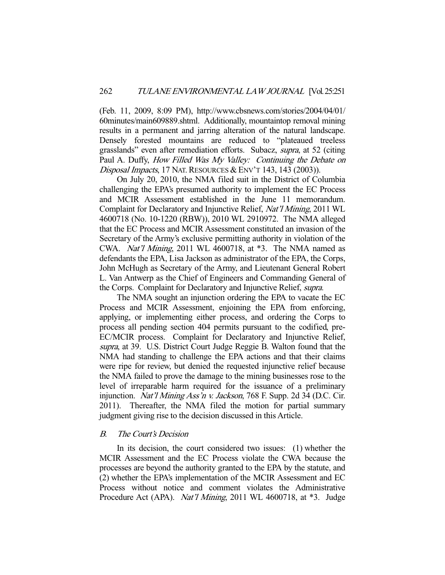(Feb. 11, 2009, 8:09 PM), http://www.cbsnews.com/stories/2004/04/01/ 60minutes/main609889.shtml. Additionally, mountaintop removal mining results in a permanent and jarring alteration of the natural landscape. Densely forested mountains are reduced to "plateaued treeless grasslands" even after remediation efforts. Subacz, supra, at 52 (citing Paul A. Duffy, How Filled Was My Valley: Continuing the Debate on Disposal Impacts, 17 NAT. RESOURCES & ENV'T 143, 143 (2003)).

 On July 20, 2010, the NMA filed suit in the District of Columbia challenging the EPA's presumed authority to implement the EC Process and MCIR Assessment established in the June 11 memorandum. Complaint for Declaratory and Injunctive Relief, Nat'l Mining, 2011 WL 4600718 (No. 10-1220 (RBW)), 2010 WL 2910972. The NMA alleged that the EC Process and MCIR Assessment constituted an invasion of the Secretary of the Army's exclusive permitting authority in violation of the CWA. Nat'l Mining, 2011 WL 4600718, at \*3. The NMA named as defendants the EPA, Lisa Jackson as administrator of the EPA, the Corps, John McHugh as Secretary of the Army, and Lieutenant General Robert L. Van Antwerp as the Chief of Engineers and Commanding General of the Corps. Complaint for Declaratory and Injunctive Relief, supra.

 The NMA sought an injunction ordering the EPA to vacate the EC Process and MCIR Assessment, enjoining the EPA from enforcing, applying, or implementing either process, and ordering the Corps to process all pending section 404 permits pursuant to the codified, pre-EC/MCIR process. Complaint for Declaratory and Injunctive Relief, supra, at 39. U.S. District Court Judge Reggie B. Walton found that the NMA had standing to challenge the EPA actions and that their claims were ripe for review, but denied the requested injunctive relief because the NMA failed to prove the damage to the mining businesses rose to the level of irreparable harm required for the issuance of a preliminary injunction. Nat'l Mining Ass'n v. Jackson, 768 F. Supp. 2d 34 (D.C. Cir. 2011). Thereafter, the NMA filed the motion for partial summary judgment giving rise to the decision discussed in this Article.

# B. The Court's Decision

 In its decision, the court considered two issues: (1) whether the MCIR Assessment and the EC Process violate the CWA because the processes are beyond the authority granted to the EPA by the statute, and (2) whether the EPA's implementation of the MCIR Assessment and EC Process without notice and comment violates the Administrative Procedure Act (APA). *Nat'l Mining*, 2011 WL 4600718, at \*3. Judge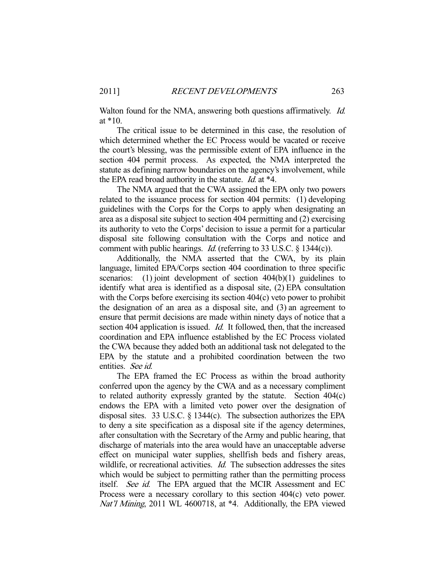Walton found for the NMA, answering both questions affirmatively. *Id.* at \*10.

 The critical issue to be determined in this case, the resolution of which determined whether the EC Process would be vacated or receive the court's blessing, was the permissible extent of EPA influence in the section 404 permit process. As expected, the NMA interpreted the statute as defining narrow boundaries on the agency's involvement, while the EPA read broad authority in the statute. Id. at \*4.

 The NMA argued that the CWA assigned the EPA only two powers related to the issuance process for section 404 permits: (1) developing guidelines with the Corps for the Corps to apply when designating an area as a disposal site subject to section 404 permitting and (2) exercising its authority to veto the Corps' decision to issue a permit for a particular disposal site following consultation with the Corps and notice and comment with public hearings. Id. (referring to 33 U.S.C. § 1344(c)).

 Additionally, the NMA asserted that the CWA, by its plain language, limited EPA/Corps section 404 coordination to three specific scenarios: (1) joint development of section  $404(b)(1)$  guidelines to identify what area is identified as a disposal site, (2) EPA consultation with the Corps before exercising its section 404(c) veto power to prohibit the designation of an area as a disposal site, and (3) an agreement to ensure that permit decisions are made within ninety days of notice that a section 404 application is issued. *Id.* It followed, then, that the increased coordination and EPA influence established by the EC Process violated the CWA because they added both an additional task not delegated to the EPA by the statute and a prohibited coordination between the two entities. See id.

 The EPA framed the EC Process as within the broad authority conferred upon the agency by the CWA and as a necessary compliment to related authority expressly granted by the statute. Section 404(c) endows the EPA with a limited veto power over the designation of disposal sites. 33 U.S.C. § 1344(c). The subsection authorizes the EPA to deny a site specification as a disposal site if the agency determines, after consultation with the Secretary of the Army and public hearing, that discharge of materials into the area would have an unacceptable adverse effect on municipal water supplies, shellfish beds and fishery areas, wildlife, or recreational activities. *Id.* The subsection addresses the sites which would be subject to permitting rather than the permitting process itself. See id. The EPA argued that the MCIR Assessment and EC Process were a necessary corollary to this section 404(c) veto power. Nat'l Mining, 2011 WL 4600718, at \*4. Additionally, the EPA viewed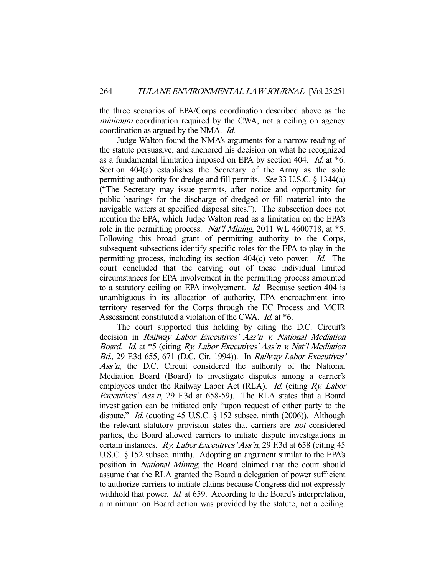the three scenarios of EPA/Corps coordination described above as the minimum coordination required by the CWA, not a ceiling on agency coordination as argued by the NMA. Id.

 Judge Walton found the NMA's arguments for a narrow reading of the statute persuasive, and anchored his decision on what he recognized as a fundamental limitation imposed on EPA by section 404. Id. at \*6. Section 404(a) establishes the Secretary of the Army as the sole permitting authority for dredge and fill permits. See 33 U.S.C. § 1344(a) ("The Secretary may issue permits, after notice and opportunity for public hearings for the discharge of dredged or fill material into the navigable waters at specified disposal sites."). The subsection does not mention the EPA, which Judge Walton read as a limitation on the EPA's role in the permitting process. *Nat'l Mining*, 2011 WL 4600718, at \*5. Following this broad grant of permitting authority to the Corps, subsequent subsections identify specific roles for the EPA to play in the permitting process, including its section 404(c) veto power. Id. The court concluded that the carving out of these individual limited circumstances for EPA involvement in the permitting process amounted to a statutory ceiling on EPA involvement. Id. Because section 404 is unambiguous in its allocation of authority, EPA encroachment into territory reserved for the Corps through the EC Process and MCIR Assessment constituted a violation of the CWA. Id. at \*6.

 The court supported this holding by citing the D.C. Circuit's decision in Railway Labor Executives' Ass'n v. National Mediation Board. Id. at \*5 (citing Ry. Labor Executives' Ass'n v. Nat'l Mediation Bd., 29 F.3d 655, 671 (D.C. Cir. 1994)). In Railway Labor Executives' Ass'n, the D.C. Circuit considered the authority of the National Mediation Board (Board) to investigate disputes among a carrier's employees under the Railway Labor Act (RLA). Id. (citing  $R_y$ . Labor Executives' Ass'n, 29 F.3d at 658-59). The RLA states that a Board investigation can be initiated only "upon request of either party to the dispute." *Id.* (quoting 45 U.S.C. § 152 subsec. ninth (2006)). Although the relevant statutory provision states that carriers are not considered parties, the Board allowed carriers to initiate dispute investigations in certain instances. Ry. Labor Executives' Ass'n, 29 F.3d at 658 (citing 45 U.S.C. § 152 subsec. ninth). Adopting an argument similar to the EPA's position in National Mining, the Board claimed that the court should assume that the RLA granted the Board a delegation of power sufficient to authorize carriers to initiate claims because Congress did not expressly withhold that power. *Id.* at 659. According to the Board's interpretation, a minimum on Board action was provided by the statute, not a ceiling.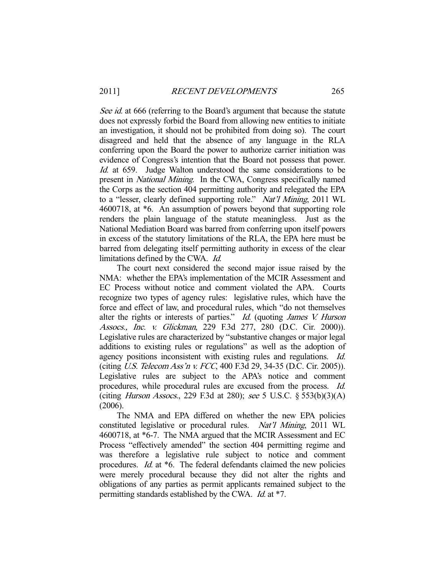See id. at 666 (referring to the Board's argument that because the statute does not expressly forbid the Board from allowing new entities to initiate an investigation, it should not be prohibited from doing so). The court disagreed and held that the absence of any language in the RLA conferring upon the Board the power to authorize carrier initiation was evidence of Congress's intention that the Board not possess that power. Id. at 659. Judge Walton understood the same considerations to be present in National Mining. In the CWA, Congress specifically named the Corps as the section 404 permitting authority and relegated the EPA to a "lesser, clearly defined supporting role." Nat'l Mining, 2011 WL 4600718, at \*6. An assumption of powers beyond that supporting role renders the plain language of the statute meaningless. Just as the National Mediation Board was barred from conferring upon itself powers in excess of the statutory limitations of the RLA, the EPA here must be barred from delegating itself permitting authority in excess of the clear limitations defined by the CWA. Id.

 The court next considered the second major issue raised by the NMA: whether the EPA's implementation of the MCIR Assessment and EC Process without notice and comment violated the APA. Courts recognize two types of agency rules: legislative rules, which have the force and effect of law, and procedural rules, which "do not themselves alter the rights or interests of parties." Id. (quoting James V. Hurson Assocs., Inc. v. Glickman, 229 F.3d 277, 280 (D.C. Cir. 2000)). Legislative rules are characterized by "substantive changes or major legal additions to existing rules or regulations" as well as the adoption of agency positions inconsistent with existing rules and regulations. Id. (citing U.S. Telecom Ass'n v. FCC, 400 F.3d 29, 34-35 (D.C. Cir. 2005)). Legislative rules are subject to the APA's notice and comment procedures, while procedural rules are excused from the process. Id. (citing Hurson Assocs., 229 F.3d at 280); see 5 U.S.C.  $\S$  553(b)(3)(A) (2006).

 The NMA and EPA differed on whether the new EPA policies constituted legislative or procedural rules. Nat'l Mining, 2011 WL 4600718, at \*6-7. The NMA argued that the MCIR Assessment and EC Process "effectively amended" the section 404 permitting regime and was therefore a legislative rule subject to notice and comment procedures. Id. at \*6. The federal defendants claimed the new policies were merely procedural because they did not alter the rights and obligations of any parties as permit applicants remained subject to the permitting standards established by the CWA. Id. at \*7.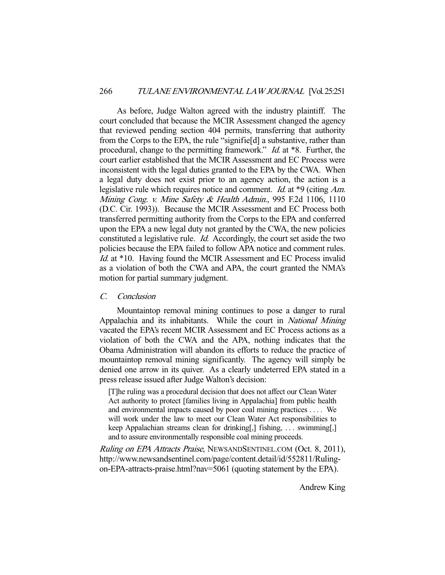As before, Judge Walton agreed with the industry plaintiff. The court concluded that because the MCIR Assessment changed the agency that reviewed pending section 404 permits, transferring that authority from the Corps to the EPA, the rule "signifie[d] a substantive, rather than procedural, change to the permitting framework." *Id.* at \*8. Further, the court earlier established that the MCIR Assessment and EC Process were inconsistent with the legal duties granted to the EPA by the CWA. When a legal duty does not exist prior to an agency action, the action is a legislative rule which requires notice and comment. Id. at \*9 (citing Am. Mining Cong. v. Mine Safety & Health Admin., 995 F.2d 1106, 1110 (D.C. Cir. 1993)). Because the MCIR Assessment and EC Process both transferred permitting authority from the Corps to the EPA and conferred upon the EPA a new legal duty not granted by the CWA, the new policies constituted a legislative rule. Id. Accordingly, the court set aside the two policies because the EPA failed to follow APA notice and comment rules. Id. at \*10. Having found the MCIR Assessment and EC Process invalid as a violation of both the CWA and APA, the court granted the NMA's motion for partial summary judgment.

# C. Conclusion

 Mountaintop removal mining continues to pose a danger to rural Appalachia and its inhabitants. While the court in National Mining vacated the EPA's recent MCIR Assessment and EC Process actions as a violation of both the CWA and the APA, nothing indicates that the Obama Administration will abandon its efforts to reduce the practice of mountaintop removal mining significantly. The agency will simply be denied one arrow in its quiver. As a clearly undeterred EPA stated in a press release issued after Judge Walton's decision:

[T]he ruling was a procedural decision that does not affect our Clean Water Act authority to protect [families living in Appalachia] from public health and environmental impacts caused by poor coal mining practices . . . . We will work under the law to meet our Clean Water Act responsibilities to keep Appalachian streams clean for drinking[,] fishing, . . . swimming[,] and to assure environmentally responsible coal mining proceeds.

Ruling on EPA Attracts Praise, NEWSANDSENTINEL.COM (Oct. 8, 2011), http://www.newsandsentinel.com/page/content.detail/id/552811/Rulingon-EPA-attracts-praise.html?nav=5061 (quoting statement by the EPA).

Andrew King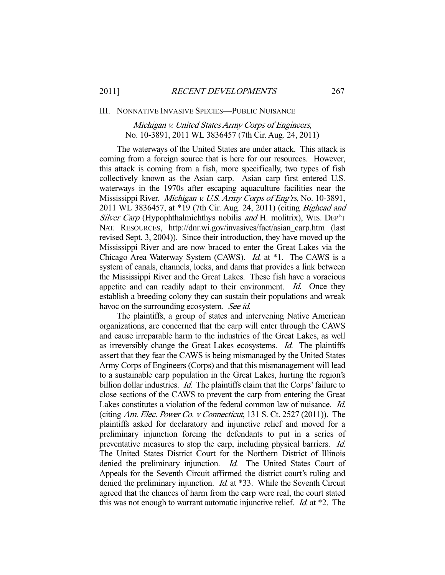#### III. NONNATIVE INVASIVE SPECIES—PUBLIC NUISANCE

# Michigan v. United States Army Corps of Engineers, No. 10-3891, 2011 WL 3836457 (7th Cir. Aug. 24, 2011)

 The waterways of the United States are under attack. This attack is coming from a foreign source that is here for our resources. However, this attack is coming from a fish, more specifically, two types of fish collectively known as the Asian carp. Asian carp first entered U.S. waterways in the 1970s after escaping aquaculture facilities near the Mississippi River. Michigan v. U.S. Army Corps of Eng'rs, No. 10-3891, 2011 WL 3836457, at \*19 (7th Cir. Aug. 24, 2011) (citing Bighead and Silver Carp (Hypophthalmichthys nobilis and H. molitrix), WIS. DEP'T NAT. RESOURCES, http://dnr.wi.gov/invasives/fact/asian\_carp.htm (last revised Sept. 3, 2004)). Since their introduction, they have moved up the Mississippi River and are now braced to enter the Great Lakes via the Chicago Area Waterway System (CAWS). Id. at \*1. The CAWS is a system of canals, channels, locks, and dams that provides a link between the Mississippi River and the Great Lakes. These fish have a voracious appetite and can readily adapt to their environment. Id. Once they establish a breeding colony they can sustain their populations and wreak havoc on the surrounding ecosystem. See id.

 The plaintiffs, a group of states and intervening Native American organizations, are concerned that the carp will enter through the CAWS and cause irreparable harm to the industries of the Great Lakes, as well as irreversibly change the Great Lakes ecosystems. Id. The plaintiffs assert that they fear the CAWS is being mismanaged by the United States Army Corps of Engineers (Corps) and that this mismanagement will lead to a sustainable carp population in the Great Lakes, hurting the region's billion dollar industries. *Id.* The plaintiffs claim that the Corps' failure to close sections of the CAWS to prevent the carp from entering the Great Lakes constitutes a violation of the federal common law of nuisance. Id. (citing Am. Elec. Power Co. v Connecticut, 131 S. Ct. 2527 (2011)). The plaintiffs asked for declaratory and injunctive relief and moved for a preliminary injunction forcing the defendants to put in a series of preventative measures to stop the carp, including physical barriers. Id. The United States District Court for the Northern District of Illinois denied the preliminary injunction. *Id.* The United States Court of Appeals for the Seventh Circuit affirmed the district court's ruling and denied the preliminary injunction. *Id.* at \*33. While the Seventh Circuit agreed that the chances of harm from the carp were real, the court stated this was not enough to warrant automatic injunctive relief. *Id.* at  $*2$ . The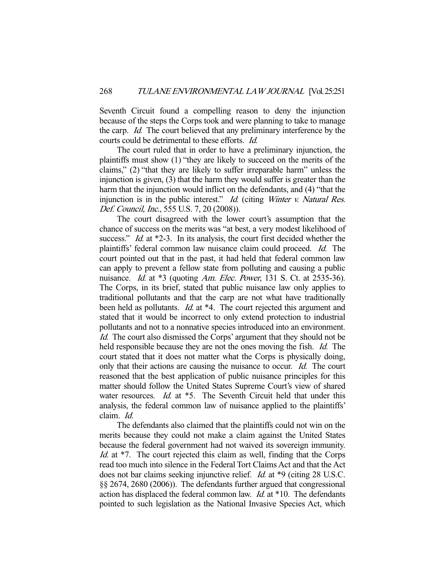Seventh Circuit found a compelling reason to deny the injunction because of the steps the Corps took and were planning to take to manage the carp. Id. The court believed that any preliminary interference by the courts could be detrimental to these efforts. Id.

 The court ruled that in order to have a preliminary injunction, the plaintiffs must show (1) "they are likely to succeed on the merits of the claims," (2) "that they are likely to suffer irreparable harm" unless the injunction is given, (3) that the harm they would suffer is greater than the harm that the injunction would inflict on the defendants, and (4) "that the injunction is in the public interest." Id. (citing Winter v. Natural Res. Def. Council, Inc., 555 U.S. 7, 20 (2008)).

 The court disagreed with the lower court's assumption that the chance of success on the merits was "at best, a very modest likelihood of success." *Id.* at \*2-3. In its analysis, the court first decided whether the plaintiffs' federal common law nuisance claim could proceed. Id. The court pointed out that in the past, it had held that federal common law can apply to prevent a fellow state from polluting and causing a public nuisance. Id. at  $*3$  (quoting Am. Elec. Power, 131 S. Ct. at 2535-36). The Corps, in its brief, stated that public nuisance law only applies to traditional pollutants and that the carp are not what have traditionally been held as pollutants. *Id.* at \*4. The court rejected this argument and stated that it would be incorrect to only extend protection to industrial pollutants and not to a nonnative species introduced into an environment. Id. The court also dismissed the Corps' argument that they should not be held responsible because they are not the ones moving the fish. *Id.* The court stated that it does not matter what the Corps is physically doing, only that their actions are causing the nuisance to occur. Id. The court reasoned that the best application of public nuisance principles for this matter should follow the United States Supreme Court's view of shared water resources. Id. at \*5. The Seventh Circuit held that under this analysis, the federal common law of nuisance applied to the plaintiffs' claim. Id.

 The defendants also claimed that the plaintiffs could not win on the merits because they could not make a claim against the United States because the federal government had not waived its sovereign immunity. Id. at <sup>\*7</sup>. The court rejected this claim as well, finding that the Corps read too much into silence in the Federal Tort Claims Act and that the Act does not bar claims seeking injunctive relief. *Id.* at \*9 (citing 28 U.S.C. §§ 2674, 2680 (2006)). The defendants further argued that congressional action has displaced the federal common law. Id. at \*10. The defendants pointed to such legislation as the National Invasive Species Act, which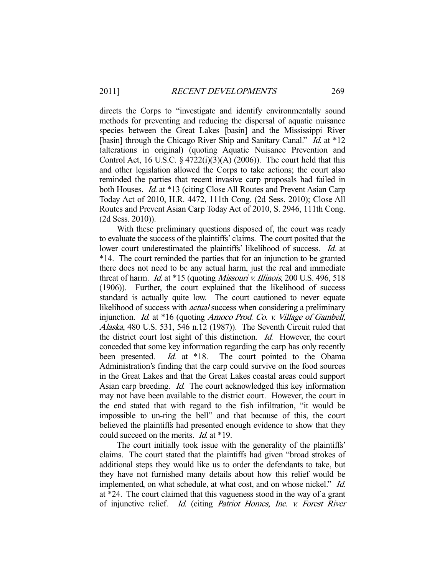directs the Corps to "investigate and identify environmentally sound methods for preventing and reducing the dispersal of aquatic nuisance species between the Great Lakes [basin] and the Mississippi River [basin] through the Chicago River Ship and Sanitary Canal." *Id.* at \*12 (alterations in original) (quoting Aquatic Nuisance Prevention and Control Act, 16 U.S.C.  $\S 4722(i)(3)(A) (2006)$ . The court held that this and other legislation allowed the Corps to take actions; the court also reminded the parties that recent invasive carp proposals had failed in both Houses. Id. at \*13 (citing Close All Routes and Prevent Asian Carp Today Act of 2010, H.R. 4472, 111th Cong. (2d Sess. 2010); Close All Routes and Prevent Asian Carp Today Act of 2010, S. 2946, 111th Cong. (2d Sess. 2010)).

 With these preliminary questions disposed of, the court was ready to evaluate the success of the plaintiffs' claims. The court posited that the lower court underestimated the plaintiffs' likelihood of success. *Id.* at \*14. The court reminded the parties that for an injunction to be granted there does not need to be any actual harm, just the real and immediate threat of harm. *Id.* at \*15 (quoting *Missouri v. Illinois*, 200 U.S. 496, 518 (1906)). Further, the court explained that the likelihood of success standard is actually quite low. The court cautioned to never equate likelihood of success with *actual* success when considering a preliminary injunction. Id. at \*16 (quoting Amoco Prod. Co. v. Village of Gambell, Alaska, 480 U.S. 531, 546 n.12 (1987)). The Seventh Circuit ruled that the district court lost sight of this distinction. Id. However, the court conceded that some key information regarding the carp has only recently been presented. *Id.* at \*18. The court pointed to the Obama Administration's finding that the carp could survive on the food sources in the Great Lakes and that the Great Lakes coastal areas could support Asian carp breeding. Id. The court acknowledged this key information may not have been available to the district court. However, the court in the end stated that with regard to the fish infiltration, "it would be impossible to un-ring the bell" and that because of this, the court believed the plaintiffs had presented enough evidence to show that they could succeed on the merits. Id. at \*19.

 The court initially took issue with the generality of the plaintiffs' claims. The court stated that the plaintiffs had given "broad strokes of additional steps they would like us to order the defendants to take, but they have not furnished many details about how this relief would be implemented, on what schedule, at what cost, and on whose nickel." *Id.* at \*24. The court claimed that this vagueness stood in the way of a grant of injunctive relief. Id. (citing Patriot Homes, Inc. v. Forest River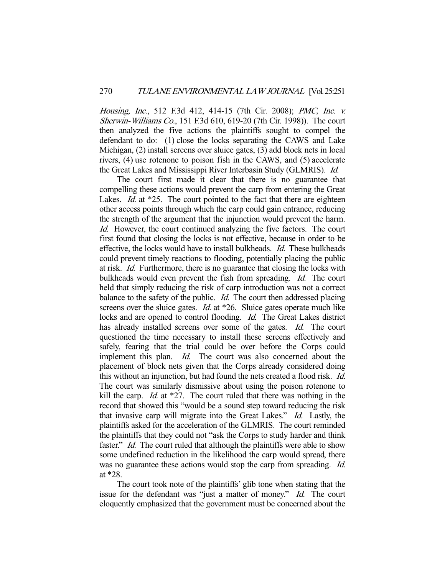Housing, Inc., 512 F.3d 412, 414-15 (7th Cir. 2008); PMC, Inc. v. Sherwin-Williams Co., 151 F.3d 610, 619-20 (7th Cir. 1998)). The court then analyzed the five actions the plaintiffs sought to compel the defendant to do: (1) close the locks separating the CAWS and Lake Michigan, (2) install screens over sluice gates, (3) add block nets in local rivers, (4) use rotenone to poison fish in the CAWS, and (5) accelerate the Great Lakes and Mississippi River Interbasin Study (GLMRIS). Id.

 The court first made it clear that there is no guarantee that compelling these actions would prevent the carp from entering the Great Lakes. *Id.* at \*25. The court pointed to the fact that there are eighteen other access points through which the carp could gain entrance, reducing the strength of the argument that the injunction would prevent the harm. Id. However, the court continued analyzing the five factors. The court first found that closing the locks is not effective, because in order to be effective, the locks would have to install bulkheads. *Id.* These bulkheads could prevent timely reactions to flooding, potentially placing the public at risk. Id. Furthermore, there is no guarantee that closing the locks with bulkheads would even prevent the fish from spreading. *Id.* The court held that simply reducing the risk of carp introduction was not a correct balance to the safety of the public. *Id.* The court then addressed placing screens over the sluice gates. *Id.* at \*26. Sluice gates operate much like locks and are opened to control flooding. Id. The Great Lakes district has already installed screens over some of the gates. *Id.* The court questioned the time necessary to install these screens effectively and safely, fearing that the trial could be over before the Corps could implement this plan. *Id.* The court was also concerned about the placement of block nets given that the Corps already considered doing this without an injunction, but had found the nets created a flood risk. Id. The court was similarly dismissive about using the poison rotenone to kill the carp. *Id.* at  $*27$ . The court ruled that there was nothing in the record that showed this "would be a sound step toward reducing the risk that invasive carp will migrate into the Great Lakes." Id. Lastly, the plaintiffs asked for the acceleration of the GLMRIS. The court reminded the plaintiffs that they could not "ask the Corps to study harder and think faster." *Id.* The court ruled that although the plaintiffs were able to show some undefined reduction in the likelihood the carp would spread, there was no guarantee these actions would stop the carp from spreading. *Id.* at \*28.

 The court took note of the plaintiffs' glib tone when stating that the issue for the defendant was "just a matter of money." Id. The court eloquently emphasized that the government must be concerned about the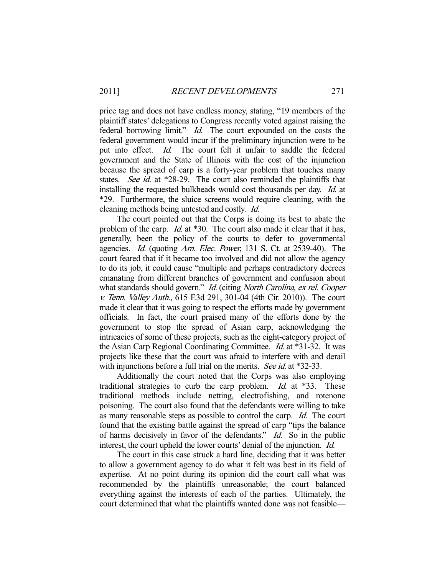price tag and does not have endless money, stating, "19 members of the plaintiff states' delegations to Congress recently voted against raising the federal borrowing limit." *Id.* The court expounded on the costs the federal government would incur if the preliminary injunction were to be put into effect. Id. The court felt it unfair to saddle the federal government and the State of Illinois with the cost of the injunction because the spread of carp is a forty-year problem that touches many states. See id. at \*28-29. The court also reminded the plaintiffs that installing the requested bulkheads would cost thousands per day. Id. at \*29. Furthermore, the sluice screens would require cleaning, with the cleaning methods being untested and costly. Id.

 The court pointed out that the Corps is doing its best to abate the problem of the carp. *Id.* at \*30. The court also made it clear that it has, generally, been the policy of the courts to defer to governmental agencies. Id. (quoting Am. Elec. Power, 131 S. Ct. at 2539-40). The court feared that if it became too involved and did not allow the agency to do its job, it could cause "multiple and perhaps contradictory decrees emanating from different branches of government and confusion about what standards should govern." Id. (citing North Carolina, ex rel. Cooper v. Tenn. Valley Auth., 615 F.3d 291, 301-04 (4th Cir. 2010)). The court made it clear that it was going to respect the efforts made by government officials. In fact, the court praised many of the efforts done by the government to stop the spread of Asian carp, acknowledging the intricacies of some of these projects, such as the eight-category project of the Asian Carp Regional Coordinating Committee. *Id.* at \*31-32. It was projects like these that the court was afraid to interfere with and derail with injunctions before a full trial on the merits. See id. at \*32-33.

 Additionally the court noted that the Corps was also employing traditional strategies to curb the carp problem. *Id.* at \*33. These traditional methods include netting, electrofishing, and rotenone poisoning. The court also found that the defendants were willing to take as many reasonable steps as possible to control the carp. Id. The court found that the existing battle against the spread of carp "tips the balance of harms decisively in favor of the defendants." Id. So in the public interest, the court upheld the lower courts' denial of the injunction. Id.

 The court in this case struck a hard line, deciding that it was better to allow a government agency to do what it felt was best in its field of expertise. At no point during its opinion did the court call what was recommended by the plaintiffs unreasonable; the court balanced everything against the interests of each of the parties. Ultimately, the court determined that what the plaintiffs wanted done was not feasible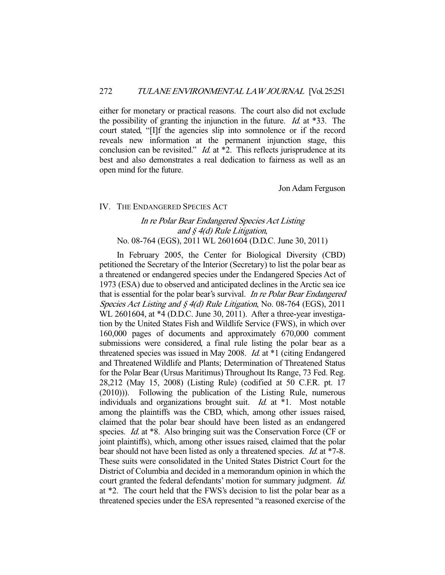either for monetary or practical reasons. The court also did not exclude the possibility of granting the injunction in the future. *Id.* at  $*33$ . The court stated, "[I]f the agencies slip into somnolence or if the record reveals new information at the permanent injunction stage, this conclusion can be revisited."  $Id$  at  $*2$ . This reflects jurisprudence at its best and also demonstrates a real dedication to fairness as well as an open mind for the future.

Jon Adam Ferguson

#### IV. THE ENDANGERED SPECIES ACT

# In re Polar Bear Endangered Species Act Listing and § 4(d) Rule Litigation, No. 08-764 (EGS), 2011 WL 2601604 (D.D.C. June 30, 2011)

 In February 2005, the Center for Biological Diversity (CBD) petitioned the Secretary of the Interior (Secretary) to list the polar bear as a threatened or endangered species under the Endangered Species Act of 1973 (ESA) due to observed and anticipated declines in the Arctic sea ice that is essential for the polar bear's survival. In re Polar Bear Endangered Species Act Listing and § 4(d) Rule Litigation, No. 08-764 (EGS), 2011 WL 2601604, at \*4 (D.D.C. June 30, 2011). After a three-year investigation by the United States Fish and Wildlife Service (FWS), in which over 160,000 pages of documents and approximately 670,000 comment submissions were considered, a final rule listing the polar bear as a threatened species was issued in May 2008. Id. at \*1 (citing Endangered and Threatened Wildlife and Plants; Determination of Threatened Status for the Polar Bear (Ursus Maritimus) Throughout Its Range, 73 Fed. Reg. 28,212 (May 15, 2008) (Listing Rule) (codified at 50 C.F.R. pt. 17 (2010))). Following the publication of the Listing Rule, numerous individuals and organizations brought suit. Id. at \*1. Most notable among the plaintiffs was the CBD, which, among other issues raised, claimed that the polar bear should have been listed as an endangered species. *Id.* at \*8. Also bringing suit was the Conservation Force (CF or joint plaintiffs), which, among other issues raised, claimed that the polar bear should not have been listed as only a threatened species. *Id.* at \*7-8. These suits were consolidated in the United States District Court for the District of Columbia and decided in a memorandum opinion in which the court granted the federal defendants' motion for summary judgment. Id. at \*2. The court held that the FWS's decision to list the polar bear as a threatened species under the ESA represented "a reasoned exercise of the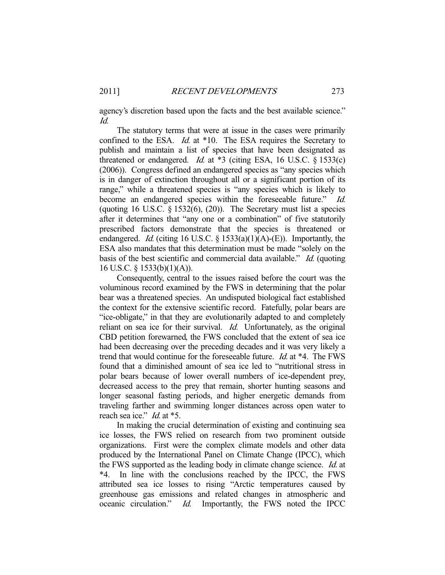agency's discretion based upon the facts and the best available science." Id.

 The statutory terms that were at issue in the cases were primarily confined to the ESA. *Id.* at \*10. The ESA requires the Secretary to publish and maintain a list of species that have been designated as threatened or endangered. *Id.* at  $*3$  (citing ESA, 16 U.S.C.  $\S$  1533(c) (2006)). Congress defined an endangered species as "any species which is in danger of extinction throughout all or a significant portion of its range," while a threatened species is "any species which is likely to become an endangered species within the foreseeable future." Id. (quoting 16 U.S.C.  $\S$  1532(6), (20)). The Secretary must list a species after it determines that "any one or a combination" of five statutorily prescribed factors demonstrate that the species is threatened or endangered. *Id.* (citing 16 U.S.C.  $\S$  1533(a)(1)(A)-(E)). Importantly, the ESA also mandates that this determination must be made "solely on the basis of the best scientific and commercial data available." *Id.* (quoting 16 U.S.C. § 1533(b)(1)(A)).

 Consequently, central to the issues raised before the court was the voluminous record examined by the FWS in determining that the polar bear was a threatened species. An undisputed biological fact established the context for the extensive scientific record. Fatefully, polar bears are "ice-obligate," in that they are evolutionarily adapted to and completely reliant on sea ice for their survival. *Id.* Unfortunately, as the original CBD petition forewarned, the FWS concluded that the extent of sea ice had been decreasing over the preceding decades and it was very likely a trend that would continue for the foreseeable future. *Id.* at  $*4$ . The FWS found that a diminished amount of sea ice led to "nutritional stress in polar bears because of lower overall numbers of ice-dependent prey, decreased access to the prey that remain, shorter hunting seasons and longer seasonal fasting periods, and higher energetic demands from traveling farther and swimming longer distances across open water to reach sea ice." *Id.* at \*5.

 In making the crucial determination of existing and continuing sea ice losses, the FWS relied on research from two prominent outside organizations. First were the complex climate models and other data produced by the International Panel on Climate Change (IPCC), which the FWS supported as the leading body in climate change science. Id. at \*4. In line with the conclusions reached by the IPCC, the FWS attributed sea ice losses to rising "Arctic temperatures caused by greenhouse gas emissions and related changes in atmospheric and oceanic circulation." Id. Importantly, the FWS noted the IPCC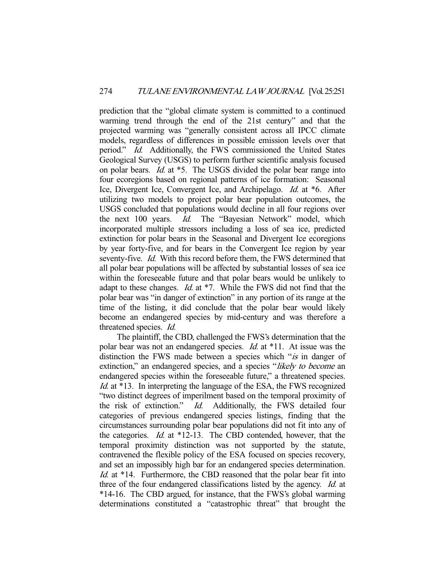prediction that the "global climate system is committed to a continued warming trend through the end of the 21st century" and that the projected warming was "generally consistent across all IPCC climate models, regardless of differences in possible emission levels over that period." Id. Additionally, the FWS commissioned the United States Geological Survey (USGS) to perform further scientific analysis focused on polar bears. Id. at \*5. The USGS divided the polar bear range into four ecoregions based on regional patterns of ice formation: Seasonal Ice, Divergent Ice, Convergent Ice, and Archipelago. Id. at \*6. After utilizing two models to project polar bear population outcomes, the USGS concluded that populations would decline in all four regions over the next 100 years. *Id.* The "Bayesian Network" model, which incorporated multiple stressors including a loss of sea ice, predicted extinction for polar bears in the Seasonal and Divergent Ice ecoregions by year forty-five, and for bears in the Convergent Ice region by year seventy-five. *Id.* With this record before them, the FWS determined that all polar bear populations will be affected by substantial losses of sea ice within the foreseeable future and that polar bears would be unlikely to adapt to these changes. Id. at \*7. While the FWS did not find that the polar bear was "in danger of extinction" in any portion of its range at the time of the listing, it did conclude that the polar bear would likely become an endangered species by mid-century and was therefore a threatened species. Id.

 The plaintiff, the CBD, challenged the FWS's determination that the polar bear was not an endangered species. Id. at \*11. At issue was the distinction the FWS made between a species which "*is* in danger of extinction," an endangered species, and a species "likely to become an endangered species within the foreseeable future," a threatened species. Id. at \*13. In interpreting the language of the ESA, the FWS recognized "two distinct degrees of imperilment based on the temporal proximity of the risk of extinction." Id. Additionally, the FWS detailed four categories of previous endangered species listings, finding that the circumstances surrounding polar bear populations did not fit into any of the categories. Id. at \*12-13. The CBD contended, however, that the temporal proximity distinction was not supported by the statute, contravened the flexible policy of the ESA focused on species recovery, and set an impossibly high bar for an endangered species determination. Id. at \*14. Furthermore, the CBD reasoned that the polar bear fit into three of the four endangered classifications listed by the agency. *Id.* at \*14-16. The CBD argued, for instance, that the FWS's global warming determinations constituted a "catastrophic threat" that brought the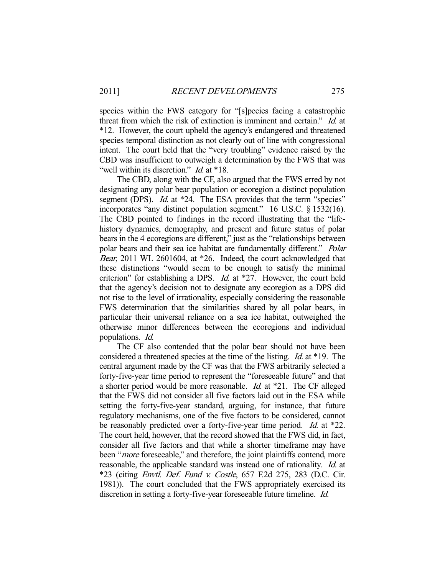species within the FWS category for "[s]pecies facing a catastrophic threat from which the risk of extinction is imminent and certain." Id. at \*12. However, the court upheld the agency's endangered and threatened species temporal distinction as not clearly out of line with congressional intent. The court held that the "very troubling" evidence raised by the CBD was insufficient to outweigh a determination by the FWS that was "well within its discretion." *Id.* at \*18.

 The CBD, along with the CF, also argued that the FWS erred by not designating any polar bear population or ecoregion a distinct population segment (DPS). *Id.* at \*24. The ESA provides that the term "species" incorporates "any distinct population segment." 16 U.S.C. § 1532(16). The CBD pointed to findings in the record illustrating that the "lifehistory dynamics, demography, and present and future status of polar bears in the 4 ecoregions are different," just as the "relationships between polar bears and their sea ice habitat are fundamentally different." *Polar* Bear, 2011 WL 2601604, at \*26. Indeed, the court acknowledged that these distinctions "would seem to be enough to satisfy the minimal criterion" for establishing a DPS. *Id.* at \*27. However, the court held that the agency's decision not to designate any ecoregion as a DPS did not rise to the level of irrationality, especially considering the reasonable FWS determination that the similarities shared by all polar bears, in particular their universal reliance on a sea ice habitat, outweighed the otherwise minor differences between the ecoregions and individual populations. Id.

 The CF also contended that the polar bear should not have been considered a threatened species at the time of the listing. Id. at \*19. The central argument made by the CF was that the FWS arbitrarily selected a forty-five-year time period to represent the "foreseeable future" and that a shorter period would be more reasonable. Id. at \*21. The CF alleged that the FWS did not consider all five factors laid out in the ESA while setting the forty-five-year standard, arguing, for instance, that future regulatory mechanisms, one of the five factors to be considered, cannot be reasonably predicted over a forty-five-year time period. *Id.* at \*22. The court held, however, that the record showed that the FWS did, in fact, consider all five factors and that while a shorter timeframe may have been "*more* foreseeable," and therefore, the joint plaintiffs contend, more reasonable, the applicable standard was instead one of rationality. Id. at \*23 (citing Envtl. Def. Fund v. Costle, 657 F.2d 275, 283 (D.C. Cir. 1981)). The court concluded that the FWS appropriately exercised its discretion in setting a forty-five-year foreseeable future timeline. *Id.*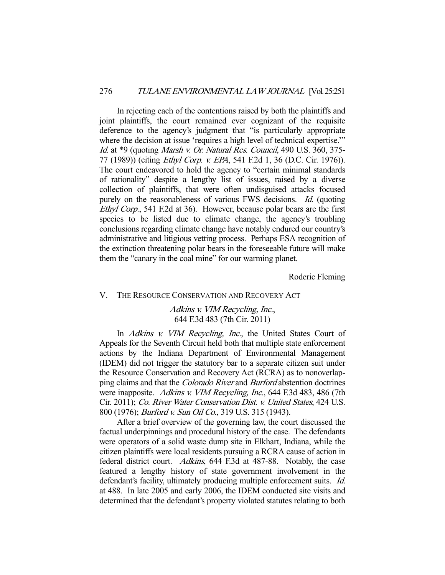In rejecting each of the contentions raised by both the plaintiffs and joint plaintiffs, the court remained ever cognizant of the requisite deference to the agency's judgment that "is particularly appropriate where the decision at issue 'requires a high level of technical expertise.'" Id. at \*9 (quoting Marsh v. Or. Natural Res. Council, 490 U.S. 360, 375-77 (1989)) (citing Ethyl Corp. v. EPA, 541 F.2d 1, 36 (D.C. Cir. 1976)). The court endeavored to hold the agency to "certain minimal standards of rationality" despite a lengthy list of issues, raised by a diverse collection of plaintiffs, that were often undisguised attacks focused purely on the reasonableness of various FWS decisions. *Id.* (quoting Ethyl Corp., 541 F.2d at 36). However, because polar bears are the first species to be listed due to climate change, the agency's troubling conclusions regarding climate change have notably endured our country's administrative and litigious vetting process. Perhaps ESA recognition of the extinction threatening polar bears in the foreseeable future will make them the "canary in the coal mine" for our warming planet.

Roderic Fleming

## V. THE RESOURCE CONSERVATION AND RECOVERY ACT

Adkins v. VIM Recycling, Inc., 644 F.3d 483 (7th Cir. 2011)

In *Adkins v. VIM Recycling, Inc.*, the United States Court of Appeals for the Seventh Circuit held both that multiple state enforcement actions by the Indiana Department of Environmental Management (IDEM) did not trigger the statutory bar to a separate citizen suit under the Resource Conservation and Recovery Act (RCRA) as to nonoverlapping claims and that the *Colorado River* and *Burford* abstention doctrines were inapposite. Adkins v. VIM Recycling, Inc., 644 F.3d 483, 486 (7th Cir. 2011); Co. River Water Conservation Dist. v. United States, 424 U.S. 800 (1976); *Burford v. Sun Oil Co.*, 319 U.S. 315 (1943).

 After a brief overview of the governing law, the court discussed the factual underpinnings and procedural history of the case. The defendants were operators of a solid waste dump site in Elkhart, Indiana, while the citizen plaintiffs were local residents pursuing a RCRA cause of action in federal district court. Adkins, 644 F.3d at 487-88. Notably, the case featured a lengthy history of state government involvement in the defendant's facility, ultimately producing multiple enforcement suits. Id. at 488. In late 2005 and early 2006, the IDEM conducted site visits and determined that the defendant's property violated statutes relating to both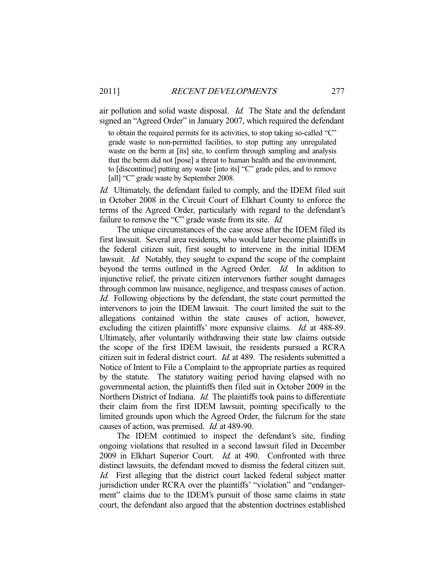air pollution and solid waste disposal. *Id.* The State and the defendant signed an "Agreed Order" in January 2007, which required the defendant

to obtain the required permits for its activities, to stop taking so-called "C" grade waste to non-permitted facilities, to stop putting any unregulated waste on the berm at [its] site, to confirm through sampling and analysis that the berm did not [pose] a threat to human health and the environment, to [discontinue] putting any waste [into its] "C" grade piles, and to remove [all] "C" grade waste by September 2008.

Id. Ultimately, the defendant failed to comply, and the IDEM filed suit in October 2008 in the Circuit Court of Elkhart County to enforce the terms of the Agreed Order, particularly with regard to the defendant's failure to remove the "C" grade waste from its site. *Id.* 

 The unique circumstances of the case arose after the IDEM filed its first lawsuit. Several area residents, who would later become plaintiffs in the federal citizen suit, first sought to intervene in the initial IDEM lawsuit. *Id.* Notably, they sought to expand the scope of the complaint beyond the terms outlined in the Agreed Order. Id. In addition to injunctive relief, the private citizen intervenors further sought damages through common law nuisance, negligence, and trespass causes of action. Id. Following objections by the defendant, the state court permitted the intervenors to join the IDEM lawsuit. The court limited the suit to the allegations contained within the state causes of action, however, excluding the citizen plaintiffs' more expansive claims. *Id.* at 488-89. Ultimately, after voluntarily withdrawing their state law claims outside the scope of the first IDEM lawsuit, the residents pursued a RCRA citizen suit in federal district court. Id. at 489. The residents submitted a Notice of Intent to File a Complaint to the appropriate parties as required by the statute. The statutory waiting period having elapsed with no governmental action, the plaintiffs then filed suit in October 2009 in the Northern District of Indiana. *Id.* The plaintiffs took pains to differentiate their claim from the first IDEM lawsuit, pointing specifically to the limited grounds upon which the Agreed Order, the fulcrum for the state causes of action, was premised. Id. at 489-90.

 The IDEM continued to inspect the defendant's site, finding ongoing violations that resulted in a second lawsuit filed in December 2009 in Elkhart Superior Court. *Id.* at 490. Confronted with three distinct lawsuits, the defendant moved to dismiss the federal citizen suit. Id. First alleging that the district court lacked federal subject matter jurisdiction under RCRA over the plaintiffs' "violation" and "endangerment" claims due to the IDEM's pursuit of those same claims in state court, the defendant also argued that the abstention doctrines established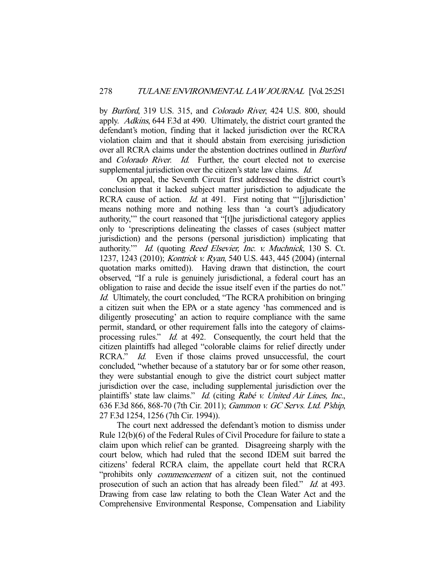by Burford, 319 U.S. 315, and Colorado River, 424 U.S. 800, should apply. Adkins, 644 F.3d at 490. Ultimately, the district court granted the defendant's motion, finding that it lacked jurisdiction over the RCRA violation claim and that it should abstain from exercising jurisdiction over all RCRA claims under the abstention doctrines outlined in Burford and Colorado River. Id. Further, the court elected not to exercise supplemental jurisdiction over the citizen's state law claims. *Id.* 

 On appeal, the Seventh Circuit first addressed the district court's conclusion that it lacked subject matter jurisdiction to adjudicate the RCRA cause of action. *Id.* at 491. First noting that "'[j]urisdiction' means nothing more and nothing less than 'a court's adjudicatory authority,'" the court reasoned that "[t]he jurisdictional category applies only to 'prescriptions delineating the classes of cases (subject matter jurisdiction) and the persons (personal jurisdiction) implicating that authority.'" Id. (quoting Reed Elsevier, Inc. v. Muchnick, 130 S. Ct. 1237, 1243 (2010); Kontrick v. Ryan, 540 U.S. 443, 445 (2004) (internal quotation marks omitted)). Having drawn that distinction, the court observed, "If a rule is genuinely jurisdictional, a federal court has an obligation to raise and decide the issue itself even if the parties do not." Id. Ultimately, the court concluded, "The RCRA prohibition on bringing a citizen suit when the EPA or a state agency 'has commenced and is diligently prosecuting' an action to require compliance with the same permit, standard, or other requirement falls into the category of claimsprocessing rules." Id. at 492. Consequently, the court held that the citizen plaintiffs had alleged "colorable claims for relief directly under RCRA." *Id.* Even if those claims proved unsuccessful, the court concluded, "whether because of a statutory bar or for some other reason, they were substantial enough to give the district court subject matter jurisdiction over the case, including supplemental jurisdiction over the plaintiffs' state law claims." Id. (citing Rabé v. United Air Lines, Inc., 636 F.3d 866, 868-70 (7th Cir. 2011); Gammon v. GC Servs. Ltd. P'ship, 27 F.3d 1254, 1256 (7th Cir. 1994)).

 The court next addressed the defendant's motion to dismiss under Rule 12(b)(6) of the Federal Rules of Civil Procedure for failure to state a claim upon which relief can be granted. Disagreeing sharply with the court below, which had ruled that the second IDEM suit barred the citizens' federal RCRA claim, the appellate court held that RCRA "prohibits only commencement of a citizen suit, not the continued prosecution of such an action that has already been filed." *Id.* at 493. Drawing from case law relating to both the Clean Water Act and the Comprehensive Environmental Response, Compensation and Liability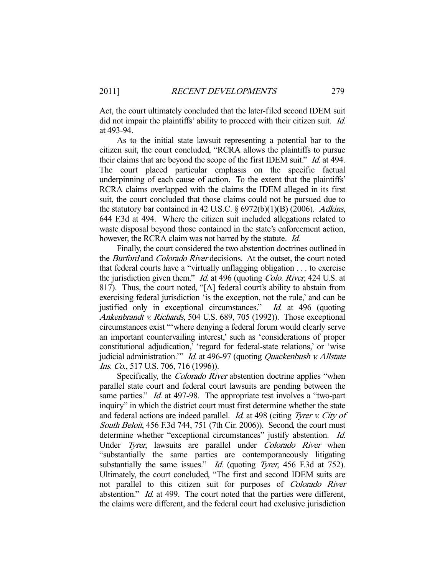Act, the court ultimately concluded that the later-filed second IDEM suit did not impair the plaintiffs' ability to proceed with their citizen suit. *Id.* at 493-94.

 As to the initial state lawsuit representing a potential bar to the citizen suit, the court concluded, "RCRA allows the plaintiffs to pursue their claims that are beyond the scope of the first IDEM suit." *Id.* at 494. The court placed particular emphasis on the specific factual underpinning of each cause of action. To the extent that the plaintiffs' RCRA claims overlapped with the claims the IDEM alleged in its first suit, the court concluded that those claims could not be pursued due to the statutory bar contained in 42 U.S.C.  $\S 6972(b)(1)(B)$  (2006). Adkins, 644 F.3d at 494. Where the citizen suit included allegations related to waste disposal beyond those contained in the state's enforcement action, however, the RCRA claim was not barred by the statute. Id.

 Finally, the court considered the two abstention doctrines outlined in the *Burford* and *Colorado River* decisions. At the outset, the court noted that federal courts have a "virtually unflagging obligation . . . to exercise the jurisdiction given them." Id. at 496 (quoting Colo. River, 424 U.S. at 817). Thus, the court noted, "[A] federal court's ability to abstain from exercising federal jurisdiction 'is the exception, not the rule,' and can be justified only in exceptional circumstances." Id. at 496 (quoting Ankenbrandt v. Richards, 504 U.S. 689, 705 (1992)). Those exceptional circumstances exist "'where denying a federal forum would clearly serve an important countervailing interest,' such as 'considerations of proper constitutional adjudication,' 'regard for federal-state relations,' or 'wise judicial administration." *Id.* at 496-97 (quoting *Quackenbush v. Allstate* Ins. Co., 517 U.S. 706, 716 (1996)).

Specifically, the *Colorado River* abstention doctrine applies "when parallel state court and federal court lawsuits are pending between the same parties." *Id.* at 497-98. The appropriate test involves a "two-part" inquiry" in which the district court must first determine whether the state and federal actions are indeed parallel. *Id.* at 498 (citing Tyrer v. City of South Beloit, 456 F.3d 744, 751 (7th Cir. 2006)). Second, the court must determine whether "exceptional circumstances" justify abstention. Id. Under Tyrer, lawsuits are parallel under Colorado River when "substantially the same parties are contemporaneously litigating substantially the same issues." *Id.* (quoting *Tyrer*, 456 F.3d at 752). Ultimately, the court concluded, "The first and second IDEM suits are not parallel to this citizen suit for purposes of Colorado River abstention." *Id.* at 499. The court noted that the parties were different, the claims were different, and the federal court had exclusive jurisdiction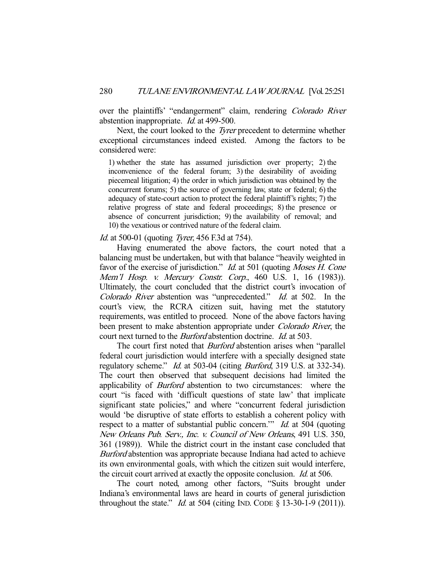over the plaintiffs' "endangerment" claim, rendering Colorado River abstention inappropriate. Id. at 499-500.

 Next, the court looked to the Tyrer precedent to determine whether exceptional circumstances indeed existed. Among the factors to be considered were:

1) whether the state has assumed jurisdiction over property; 2) the inconvenience of the federal forum; 3) the desirability of avoiding piecemeal litigation; 4) the order in which jurisdiction was obtained by the concurrent forums; 5) the source of governing law, state or federal; 6) the adequacy of state-court action to protect the federal plaintiff's rights; 7) the relative progress of state and federal proceedings; 8) the presence or absence of concurrent jurisdiction; 9) the availability of removal; and 10) the vexatious or contrived nature of the federal claim.

#### *Id.* at 500-01 (quoting *Tyrer*, 456 F.3d at 754).

 Having enumerated the above factors, the court noted that a balancing must be undertaken, but with that balance "heavily weighted in favor of the exercise of jurisdiction." *Id.* at 501 (quoting *Moses H. Cone* Mem'l Hosp. v. Mercury Constr. Corp., 460 U.S. 1, 16 (1983)). Ultimately, the court concluded that the district court's invocation of Colorado River abstention was "unprecedented." Id. at 502. In the court's view, the RCRA citizen suit, having met the statutory requirements, was entitled to proceed. None of the above factors having been present to make abstention appropriate under Colorado River, the court next turned to the *Burford* abstention doctrine. *Id.* at 503.

The court first noted that *Burford* abstention arises when "parallel federal court jurisdiction would interfere with a specially designed state regulatory scheme." *Id.* at 503-04 (citing *Burford*, 319 U.S. at 332-34). The court then observed that subsequent decisions had limited the applicability of Burford abstention to two circumstances: where the court "is faced with 'difficult questions of state law' that implicate significant state policies," and where "concurrent federal jurisdiction would 'be disruptive of state efforts to establish a coherent policy with respect to a matter of substantial public concern." *Id.* at 504 (quoting New Orleans Pub. Serv., Inc. v. Council of New Orleans, 491 U.S. 350, 361 (1989)). While the district court in the instant case concluded that Burford abstention was appropriate because Indiana had acted to achieve its own environmental goals, with which the citizen suit would interfere, the circuit court arrived at exactly the opposite conclusion. Id. at 506.

 The court noted, among other factors, "Suits brought under Indiana's environmental laws are heard in courts of general jurisdiction throughout the state." *Id.* at 504 (citing IND. CODE  $\S$  13-30-1-9 (2011)).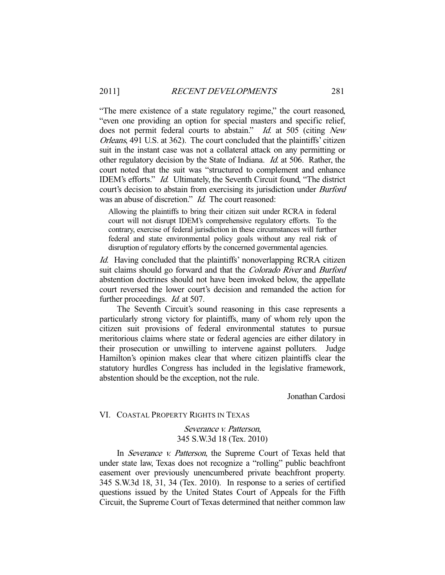"The mere existence of a state regulatory regime," the court reasoned, "even one providing an option for special masters and specific relief, does not permit federal courts to abstain." Id. at 505 (citing New Orleans, 491 U.S. at 362). The court concluded that the plaintiffs' citizen suit in the instant case was not a collateral attack on any permitting or other regulatory decision by the State of Indiana. Id. at 506. Rather, the court noted that the suit was "structured to complement and enhance IDEM's efforts." Id. Ultimately, the Seventh Circuit found, "The district court's decision to abstain from exercising its jurisdiction under Burford was an abuse of discretion." *Id.* The court reasoned:

Allowing the plaintiffs to bring their citizen suit under RCRA in federal court will not disrupt IDEM's comprehensive regulatory efforts. To the contrary, exercise of federal jurisdiction in these circumstances will further federal and state environmental policy goals without any real risk of disruption of regulatory efforts by the concerned governmental agencies.

Id. Having concluded that the plaintiffs' nonoverlapping RCRA citizen suit claims should go forward and that the *Colorado River* and *Burford* abstention doctrines should not have been invoked below, the appellate court reversed the lower court's decision and remanded the action for further proceedings. *Id.* at 507.

 The Seventh Circuit's sound reasoning in this case represents a particularly strong victory for plaintiffs, many of whom rely upon the citizen suit provisions of federal environmental statutes to pursue meritorious claims where state or federal agencies are either dilatory in their prosecution or unwilling to intervene against polluters. Judge Hamilton's opinion makes clear that where citizen plaintiffs clear the statutory hurdles Congress has included in the legislative framework, abstention should be the exception, not the rule.

Jonathan Cardosi

## VI. COASTAL PROPERTY RIGHTS IN TEXAS

# Severance v. Patterson, 345 S.W.3d 18 (Tex. 2010)

In *Severance v. Patterson*, the Supreme Court of Texas held that under state law, Texas does not recognize a "rolling" public beachfront easement over previously unencumbered private beachfront property. 345 S.W.3d 18, 31, 34 (Tex. 2010). In response to a series of certified questions issued by the United States Court of Appeals for the Fifth Circuit, the Supreme Court of Texas determined that neither common law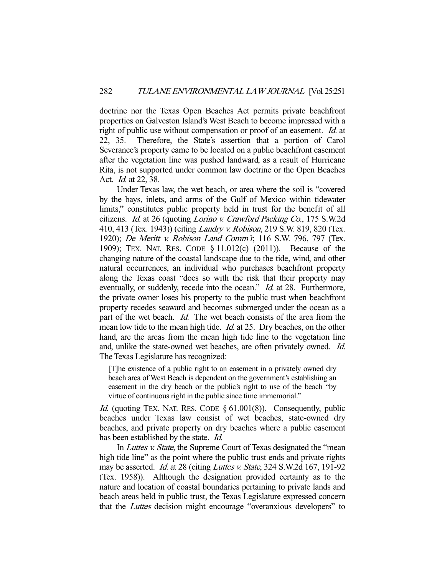doctrine nor the Texas Open Beaches Act permits private beachfront properties on Galveston Island's West Beach to become impressed with a right of public use without compensation or proof of an easement. *Id.* at 22, 35. Therefore, the State's assertion that a portion of Carol Severance's property came to be located on a public beachfront easement after the vegetation line was pushed landward, as a result of Hurricane Rita, is not supported under common law doctrine or the Open Beaches Act. Id. at 22, 38.

 Under Texas law, the wet beach, or area where the soil is "covered by the bays, inlets, and arms of the Gulf of Mexico within tidewater limits," constitutes public property held in trust for the benefit of all citizens. Id. at 26 (quoting Lorino v. Crawford Packing Co., 175 S.W.2d 410, 413 (Tex. 1943)) (citing *Landry v. Robison*, 219 S.W. 819, 820 (Tex. 1920); De Meritt v. Robison Land Comm'r, 116 S.W. 796, 797 (Tex. 1909); TEX. NAT. RES. CODE § 11.012(c) (2011)). Because of the changing nature of the coastal landscape due to the tide, wind, and other natural occurrences, an individual who purchases beachfront property along the Texas coast "does so with the risk that their property may eventually, or suddenly, recede into the ocean." *Id.* at 28. Furthermore, the private owner loses his property to the public trust when beachfront property recedes seaward and becomes submerged under the ocean as a part of the wet beach. *Id.* The wet beach consists of the area from the mean low tide to the mean high tide. *Id.* at 25. Dry beaches, on the other hand, are the areas from the mean high tide line to the vegetation line and, unlike the state-owned wet beaches, are often privately owned. Id. The Texas Legislature has recognized:

[T]he existence of a public right to an easement in a privately owned dry beach area of West Beach is dependent on the government's establishing an easement in the dry beach or the public's right to use of the beach "by virtue of continuous right in the public since time immemorial."

*Id.* (quoting TEX. NAT. RES. CODE  $\S 61.001(8)$ ). Consequently, public beaches under Texas law consist of wet beaches, state-owned dry beaches, and private property on dry beaches where a public easement has been established by the state. Id.

In *Luttes v. State*, the Supreme Court of Texas designated the "mean" high tide line" as the point where the public trust ends and private rights may be asserted. Id. at 28 (citing Luttes v. State, 324 S.W.2d 167, 191-92) (Tex. 1958)). Although the designation provided certainty as to the nature and location of coastal boundaries pertaining to private lands and beach areas held in public trust, the Texas Legislature expressed concern that the Luttes decision might encourage "overanxious developers" to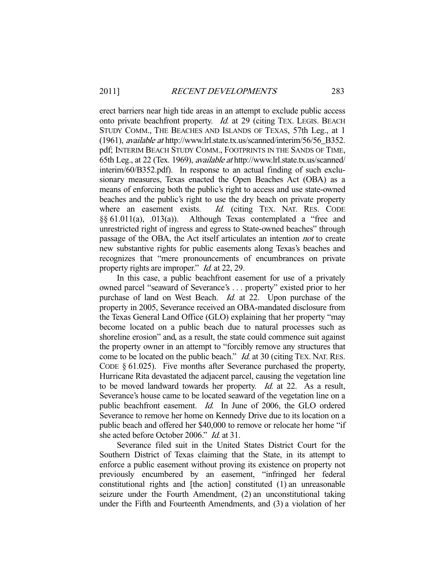erect barriers near high tide areas in an attempt to exclude public access onto private beachfront property. *Id.* at 29 (citing TEX. LEGIS. BEACH STUDY COMM., THE BEACHES AND ISLANDS OF TEXAS, 57th Leg., at 1 (1961), available at http://www.lrl.state.tx.us/scanned/interim/56/56\_B352. pdf; INTERIM BEACH STUDY COMM., FOOTPRINTS IN THE SANDS OF TIME, 65th Leg., at 22 (Tex. 1969), available at http://www.lrl.state.tx.us/scanned/ interim/60/B352.pdf). In response to an actual finding of such exclusionary measures, Texas enacted the Open Beaches Act (OBA) as a means of enforcing both the public's right to access and use state-owned beaches and the public's right to use the dry beach on private property where an easement exists. *Id.* (citing TEX. NAT. RES. CODE §§ 61.011(a), .013(a)). Although Texas contemplated a "free and unrestricted right of ingress and egress to State-owned beaches" through passage of the OBA, the Act itself articulates an intention not to create new substantive rights for public easements along Texas's beaches and recognizes that "mere pronouncements of encumbrances on private property rights are improper." *Id.* at 22, 29.

 In this case, a public beachfront easement for use of a privately owned parcel "seaward of Severance's . . . property" existed prior to her purchase of land on West Beach. *Id.* at 22. Upon purchase of the property in 2005, Severance received an OBA-mandated disclosure from the Texas General Land Office (GLO) explaining that her property "may become located on a public beach due to natural processes such as shoreline erosion" and, as a result, the state could commence suit against the property owner in an attempt to "forcibly remove any structures that come to be located on the public beach." *Id.* at 30 (citing TEX. NAT. RES. CODE § 61.025). Five months after Severance purchased the property, Hurricane Rita devastated the adjacent parcel, causing the vegetation line to be moved landward towards her property. Id. at 22. As a result, Severance's house came to be located seaward of the vegetation line on a public beachfront easement. Id. In June of 2006, the GLO ordered Severance to remove her home on Kennedy Drive due to its location on a public beach and offered her \$40,000 to remove or relocate her home "if she acted before October 2006." Id. at 31.

 Severance filed suit in the United States District Court for the Southern District of Texas claiming that the State, in its attempt to enforce a public easement without proving its existence on property not previously encumbered by an easement, "infringed her federal constitutional rights and [the action] constituted (1) an unreasonable seizure under the Fourth Amendment, (2) an unconstitutional taking under the Fifth and Fourteenth Amendments, and (3) a violation of her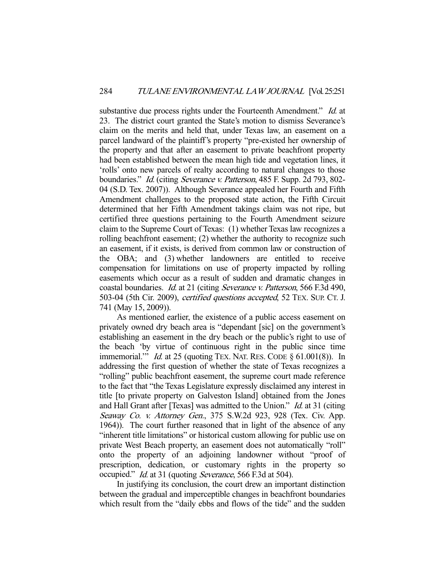substantive due process rights under the Fourteenth Amendment." Id. at 23. The district court granted the State's motion to dismiss Severance's claim on the merits and held that, under Texas law, an easement on a parcel landward of the plaintiff's property "pre-existed her ownership of the property and that after an easement to private beachfront property had been established between the mean high tide and vegetation lines, it 'rolls' onto new parcels of realty according to natural changes to those boundaries." Id. (citing Severance v. Patterson, 485 F. Supp. 2d 793, 802-04 (S.D. Tex. 2007)). Although Severance appealed her Fourth and Fifth Amendment challenges to the proposed state action, the Fifth Circuit determined that her Fifth Amendment takings claim was not ripe, but certified three questions pertaining to the Fourth Amendment seizure claim to the Supreme Court of Texas: (1) whether Texas law recognizes a rolling beachfront easement; (2) whether the authority to recognize such an easement, if it exists, is derived from common law or construction of the OBA; and (3) whether landowners are entitled to receive compensation for limitations on use of property impacted by rolling easements which occur as a result of sudden and dramatic changes in coastal boundaries. Id. at 21 (citing Severance v. Patterson, 566 F.3d 490, 503-04 (5th Cir. 2009), certified questions accepted, 52 TEX. SUP. CT. J. 741 (May 15, 2009)).

 As mentioned earlier, the existence of a public access easement on privately owned dry beach area is "dependant [sic] on the government's establishing an easement in the dry beach or the public's right to use of the beach 'by virtue of continuous right in the public since time immemorial." *Id.* at 25 (quoting TEX. NAT. RES. CODE  $\S$  61.001(8)). In addressing the first question of whether the state of Texas recognizes a "rolling" public beachfront easement, the supreme court made reference to the fact that "the Texas Legislature expressly disclaimed any interest in title [to private property on Galveston Island] obtained from the Jones and Hall Grant after [Texas] was admitted to the Union." *Id.* at 31 (citing Seaway Co. v. Attorney Gen., 375 S.W.2d 923, 928 (Tex. Civ. App. 1964)). The court further reasoned that in light of the absence of any "inherent title limitations" or historical custom allowing for public use on private West Beach property, an easement does not automatically "roll" onto the property of an adjoining landowner without "proof of prescription, dedication, or customary rights in the property so occupied." Id. at 31 (quoting Severance, 566 F.3d at 504).

 In justifying its conclusion, the court drew an important distinction between the gradual and imperceptible changes in beachfront boundaries which result from the "daily ebbs and flows of the tide" and the sudden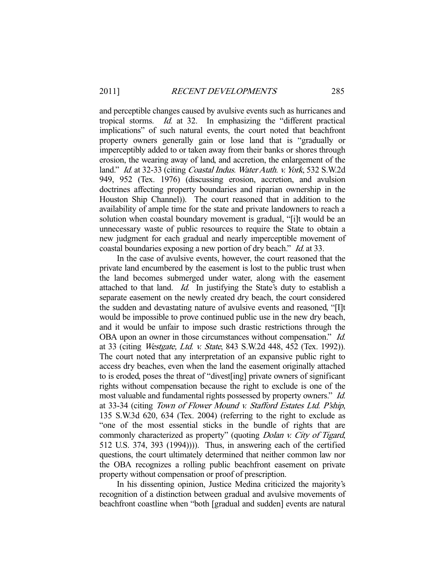and perceptible changes caused by avulsive events such as hurricanes and tropical storms. Id. at 32. In emphasizing the "different practical implications" of such natural events, the court noted that beachfront property owners generally gain or lose land that is "gradually or imperceptibly added to or taken away from their banks or shores through erosion, the wearing away of land, and accretion, the enlargement of the land." Id. at 32-33 (citing *Coastal Indus. Water Auth. v. York*, 532 S.W.2d 949, 952 (Tex. 1976) (discussing erosion, accretion, and avulsion doctrines affecting property boundaries and riparian ownership in the Houston Ship Channel)). The court reasoned that in addition to the availability of ample time for the state and private landowners to reach a solution when coastal boundary movement is gradual, "[i]t would be an unnecessary waste of public resources to require the State to obtain a new judgment for each gradual and nearly imperceptible movement of coastal boundaries exposing a new portion of dry beach." *Id.* at 33.

 In the case of avulsive events, however, the court reasoned that the private land encumbered by the easement is lost to the public trust when the land becomes submerged under water, along with the easement attached to that land.  $Id$ . In justifying the State's duty to establish a separate easement on the newly created dry beach, the court considered the sudden and devastating nature of avulsive events and reasoned, "[I]t would be impossible to prove continued public use in the new dry beach, and it would be unfair to impose such drastic restrictions through the OBA upon an owner in those circumstances without compensation." Id. at 33 (citing Westgate, Ltd. v. State, 843 S.W.2d 448, 452 (Tex. 1992)). The court noted that any interpretation of an expansive public right to access dry beaches, even when the land the easement originally attached to is eroded, poses the threat of "divest[ing] private owners of significant rights without compensation because the right to exclude is one of the most valuable and fundamental rights possessed by property owners." Id. at 33-34 (citing Town of Flower Mound v. Stafford Estates Ltd. P'ship, 135 S.W.3d 620, 634 (Tex. 2004) (referring to the right to exclude as "one of the most essential sticks in the bundle of rights that are commonly characterized as property" (quoting *Dolan v. City of Tigard*, 512 U.S. 374, 393 (1994)))). Thus, in answering each of the certified questions, the court ultimately determined that neither common law nor the OBA recognizes a rolling public beachfront easement on private property without compensation or proof of prescription.

 In his dissenting opinion, Justice Medina criticized the majority's recognition of a distinction between gradual and avulsive movements of beachfront coastline when "both [gradual and sudden] events are natural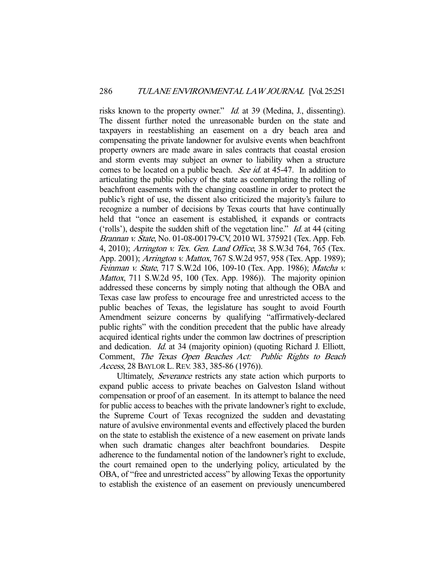risks known to the property owner." *Id.* at 39 (Medina, J., dissenting). The dissent further noted the unreasonable burden on the state and taxpayers in reestablishing an easement on a dry beach area and compensating the private landowner for avulsive events when beachfront property owners are made aware in sales contracts that coastal erosion and storm events may subject an owner to liability when a structure comes to be located on a public beach. *See id.* at 45-47. In addition to articulating the public policy of the state as contemplating the rolling of beachfront easements with the changing coastline in order to protect the public's right of use, the dissent also criticized the majority's failure to recognize a number of decisions by Texas courts that have continually held that "once an easement is established, it expands or contracts ('rolls'), despite the sudden shift of the vegetation line." *Id.* at 44 (citing Brannan v. State, No. 01-08-00179-CV, 2010 WL 375921 (Tex. App. Feb. 4, 2010); Arrington v. Tex. Gen. Land Office, 38 S.W.3d 764, 765 (Tex. App. 2001); Arrington v. Mattox, 767 S.W.2d 957, 958 (Tex. App. 1989); Feinman v. State, 717 S.W.2d 106, 109-10 (Tex. App. 1986); Matcha v. Mattox, 711 S.W.2d 95, 100 (Tex. App. 1986)). The majority opinion addressed these concerns by simply noting that although the OBA and Texas case law profess to encourage free and unrestricted access to the public beaches of Texas, the legislature has sought to avoid Fourth Amendment seizure concerns by qualifying "affirmatively-declared public rights" with the condition precedent that the public have already acquired identical rights under the common law doctrines of prescription and dedication. Id. at 34 (majority opinion) (quoting Richard J. Elliott, Comment, The Texas Open Beaches Act: Public Rights to Beach Access, 28 BAYLOR L.REV. 383, 385-86 (1976)).

 Ultimately, Severance restricts any state action which purports to expand public access to private beaches on Galveston Island without compensation or proof of an easement. In its attempt to balance the need for public access to beaches with the private landowner's right to exclude, the Supreme Court of Texas recognized the sudden and devastating nature of avulsive environmental events and effectively placed the burden on the state to establish the existence of a new easement on private lands when such dramatic changes alter beachfront boundaries. Despite adherence to the fundamental notion of the landowner's right to exclude, the court remained open to the underlying policy, articulated by the OBA, of "free and unrestricted access" by allowing Texas the opportunity to establish the existence of an easement on previously unencumbered